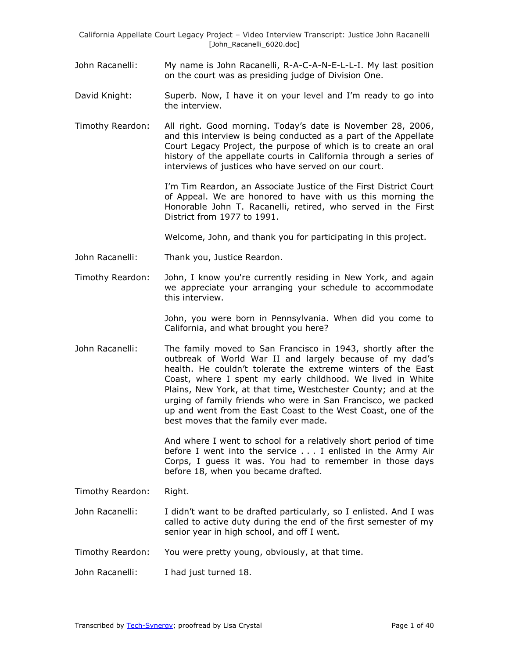- John Racanelli: My name is John Racanelli, R-A-C-A-N-E-L-L-I. My last position on the court was as presiding judge of Division One.
- David Knight: Superb. Now, I have it on your level and I'm ready to go into the interview.
- Timothy Reardon: All right. Good morning. Today's date is November 28, 2006, and this interview is being conducted as a part of the Appellate Court Legacy Project, the purpose of which is to create an oral history of the appellate courts in California through a series of interviews of justices who have served on our court.

I'm Tim Reardon, an Associate Justice of the First District Court of Appeal. We are honored to have with us this morning the Honorable John T. Racanelli, retired, who served in the First District from 1977 to 1991.

Welcome, John, and thank you for participating in this project.

- John Racanelli: Thank you, Justice Reardon.
- Timothy Reardon: John, I know you're currently residing in New York, and again we appreciate your arranging your schedule to accommodate this interview.

John, you were born in Pennsylvania. When did you come to California, and what brought you here?

John Racanelli: The family moved to San Francisco in 1943, shortly after the outbreak of World War II and largely because of my dad's health. He couldn't tolerate the extreme winters of the East Coast, where I spent my early childhood. We lived in White Plains, New York, at that time**,** Westchester County; and at the urging of family friends who were in San Francisco, we packed up and went from the East Coast to the West Coast, one of the best moves that the family ever made.

> And where I went to school for a relatively short period of time before I went into the service . . . I enlisted in the Army Air Corps, I guess it was. You had to remember in those days before 18, when you became drafted.

Timothy Reardon: Right.

- John Racanelli: I didn't want to be drafted particularly, so I enlisted. And I was called to active duty during the end of the first semester of my senior year in high school, and off I went.
- Timothy Reardon: You were pretty young, obviously, at that time.
- John Racanelli: I had just turned 18.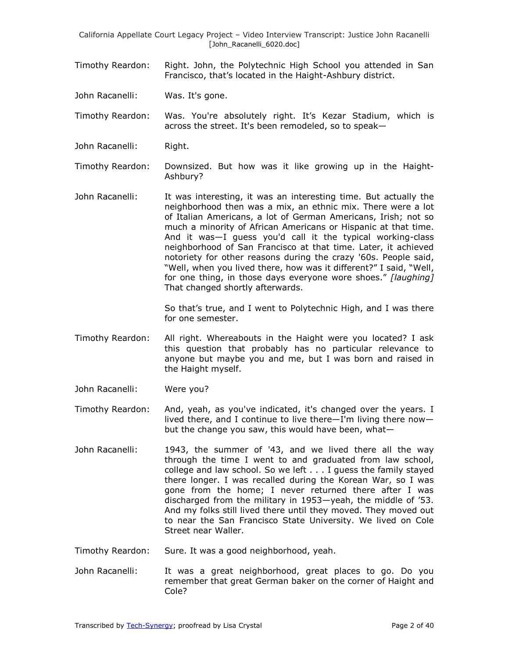Timothy Reardon: Right. John, the Polytechnic High School you attended in San Francisco, that's located in the Haight-Ashbury district.

John Racanelli: Was. It's gone.

Timothy Reardon: Was. You're absolutely right. It's Kezar Stadium, which is across the street. It's been remodeled, so to speak—

John Racanelli: Right.

Timothy Reardon: Downsized. But how was it like growing up in the Haight-Ashbury?

John Racanelli: It was interesting, it was an interesting time. But actually the neighborhood then was a mix, an ethnic mix. There were a lot of Italian Americans, a lot of German Americans, Irish; not so much a minority of African Americans or Hispanic at that time. And it was—I guess you'd call it the typical working-class neighborhood of San Francisco at that time. Later, it achieved notoriety for other reasons during the crazy '60s. People said, "Well, when you lived there, how was it different?" I said, "Well, for one thing, in those days everyone wore shoes." [laughing] That changed shortly afterwards.

> So that's true, and I went to Polytechnic High, and I was there for one semester.

- Timothy Reardon: All right. Whereabouts in the Haight were you located? I ask this question that probably has no particular relevance to anyone but maybe you and me, but I was born and raised in the Haight myself.
- John Racanelli: Were you?
- Timothy Reardon: And, yeah, as you've indicated, it's changed over the years. I lived there, and I continue to live there—I'm living there now but the change you saw, this would have been, what—
- John Racanelli: 1943, the summer of '43, and we lived there all the way through the time I went to and graduated from law school, college and law school. So we left . . . I guess the family stayed there longer. I was recalled during the Korean War, so I was gone from the home; I never returned there after I was discharged from the military in 1953—yeah, the middle of '53. And my folks still lived there until they moved. They moved out to near the San Francisco State University. We lived on Cole Street near Waller.
- Timothy Reardon: Sure. It was a good neighborhood, yeah.
- John Racanelli: It was a great neighborhood, great places to go. Do you remember that great German baker on the corner of Haight and Cole?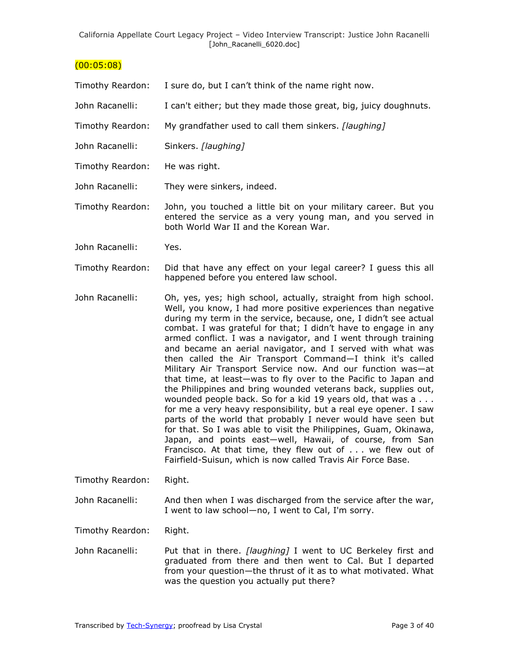### $(00:05:08)$

| Timothy Reardon: | I sure do, but I can't think of the name right now. |  |
|------------------|-----------------------------------------------------|--|
|------------------|-----------------------------------------------------|--|

- John Racanelli: I can't either; but they made those great, big, juicy doughnuts.
- Timothy Reardon: My grandfather used to call them sinkers. *[laughing]*
- John Racanelli: Sinkers. *[laughing]*
- Timothy Reardon: He was right.
- John Racanelli: They were sinkers, indeed.
- Timothy Reardon: John, you touched a little bit on your military career. But you entered the service as a very young man, and you served in both World War II and the Korean War.
- John Racanelli: Yes.
- Timothy Reardon: Did that have any effect on your legal career? I guess this all happened before you entered law school.
- John Racanelli: Oh, yes, yes; high school, actually, straight from high school. Well, you know, I had more positive experiences than negative during my term in the service, because, one, I didn't see actual combat. I was grateful for that; I didn't have to engage in any armed conflict. I was a navigator, and I went through training and became an aerial navigator, and I served with what was then called the Air Transport Command—I think it's called Military Air Transport Service now. And our function was—at that time, at least—was to fly over to the Pacific to Japan and the Philippines and bring wounded veterans back, supplies out, wounded people back. So for a kid 19 years old, that was a . . . for me a very heavy responsibility, but a real eye opener. I saw parts of the world that probably I never would have seen but for that. So I was able to visit the Philippines, Guam, Okinawa, Japan, and points east—well, Hawaii, of course, from San Francisco. At that time, they flew out of . . . we flew out of Fairfield-Suisun, which is now called Travis Air Force Base.
- Timothy Reardon: Right.

John Racanelli: And then when I was discharged from the service after the war, I went to law school—no, I went to Cal, I'm sorry.

Timothy Reardon: Right.

John Racanelli: Put that in there. *[laughing]* I went to UC Berkeley first and graduated from there and then went to Cal. But I departed from your question—the thrust of it as to what motivated. What was the question you actually put there?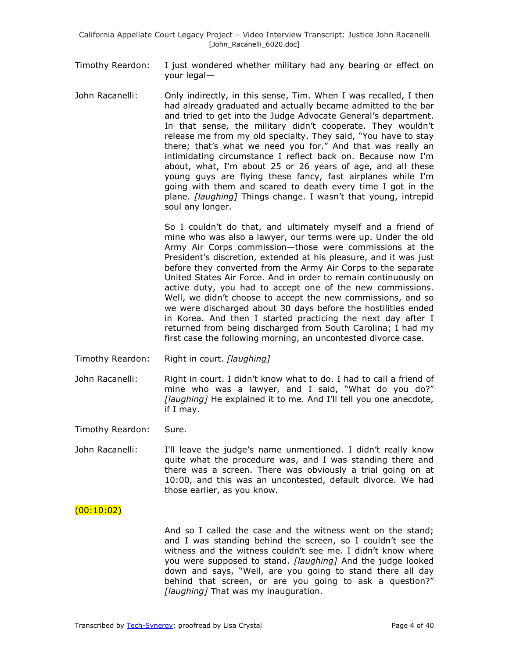- Timothy Reardon: I just wondered whether military had any bearing or effect on your legal—
- John Racanelli: Only indirectly, in this sense, Tim. When I was recalled, I then had already graduated and actually became admitted to the bar and tried to get into the Judge Advocate General's department. In that sense, the military didn't cooperate. They wouldn't release me from my old specialty. They said, "You have to stay there; that's what we need you for." And that was really an intimidating circumstance I reflect back on. Because now I'm about, what, I'm about 25 or 26 years of age, and all these young guys are flying these fancy, fast airplanes while I'm going with them and scared to death every time I got in the plane. *[laughing]* Things change. I wasn't that young, intrepid soul any longer.

So I couldn't do that, and ultimately myself and a friend of mine who was also a lawyer, our terms were up. Under the old Army Air Corps commission—those were commissions at the President's discretion, extended at his pleasure, and it was just before they converted from the Army Air Corps to the separate United States Air Force. And in order to remain continuously on active duty, you had to accept one of the new commissions. Well, we didn't choose to accept the new commissions, and so we were discharged about 30 days before the hostilities ended in Korea. And then I started practicing the next day after I returned from being discharged from South Carolina; I had my first case the following morning, an uncontested divorce case.

- Timothy Reardon: Right in court. *[laughing]*
- John Racanelli: Right in court. I didn't know what to do. I had to call a friend of mine who was a lawyer, and I said, "What do you do?" *[laughing]* He explained it to me. And I'll tell you one anecdote, if I may.

Timothy Reardon: Sure.

John Racanelli: I'll leave the judge's name unmentioned. I didn't really know quite what the procedure was, and I was standing there and there was a screen. There was obviously a trial going on at 10:00, and this was an uncontested, default divorce. We had those earlier, as you know.

### $(00:10:02)$

And so I called the case and the witness went on the stand; and I was standing behind the screen, so I couldn't see the witness and the witness couldn't see me. I didn't know where you were supposed to stand. *[laughing]* And the judge looked down and says, "Well, are you going to stand there all day behind that screen, or are you going to ask a question?" *[laughing]* That was my inauguration.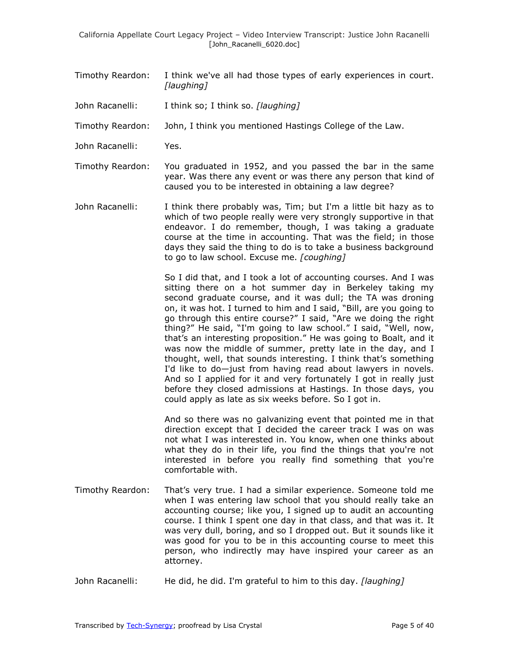- Timothy Reardon: I think we've all had those types of early experiences in court. *[laughing]*
- John Racanelli: I think so; I think so. *[laughing]*
- Timothy Reardon: John, I think you mentioned Hastings College of the Law.
- John Racanelli: Yes.
- Timothy Reardon: You graduated in 1952, and you passed the bar in the same year. Was there any event or was there any person that kind of caused you to be interested in obtaining a law degree?
- John Racanelli: I think there probably was, Tim; but I'm a little bit hazy as to which of two people really were very strongly supportive in that endeavor. I do remember, though, I was taking a graduate course at the time in accounting. That was the field; in those days they said the thing to do is to take a business background to go to law school. Excuse me. *[coughing]*

So I did that, and I took a lot of accounting courses. And I was sitting there on a hot summer day in Berkeley taking my second graduate course, and it was dull; the TA was droning on, it was hot. I turned to him and I said, "Bill, are you going to go through this entire course?" I said, "Are we doing the right thing?" He said, "I'm going to law school." I said, "Well, now, that's an interesting proposition." He was going to Boalt, and it was now the middle of summer, pretty late in the day, and I thought, well, that sounds interesting. I think that's something I'd like to do—just from having read about lawyers in novels. And so I applied for it and very fortunately I got in really just before they closed admissions at Hastings. In those days, you could apply as late as six weeks before. So I got in.

And so there was no galvanizing event that pointed me in that direction except that I decided the career track I was on was not what I was interested in. You know, when one thinks about what they do in their life, you find the things that you're not interested in before you really find something that you're comfortable with.

- Timothy Reardon: That's very true. I had a similar experience. Someone told me when I was entering law school that you should really take an accounting course; like you, I signed up to audit an accounting course. I think I spent one day in that class, and that was it. It was very dull, boring, and so I dropped out. But it sounds like it was good for you to be in this accounting course to meet this person, who indirectly may have inspired your career as an attorney.
- John Racanelli: He did, he did. I'm grateful to him to this day. *[laughing]*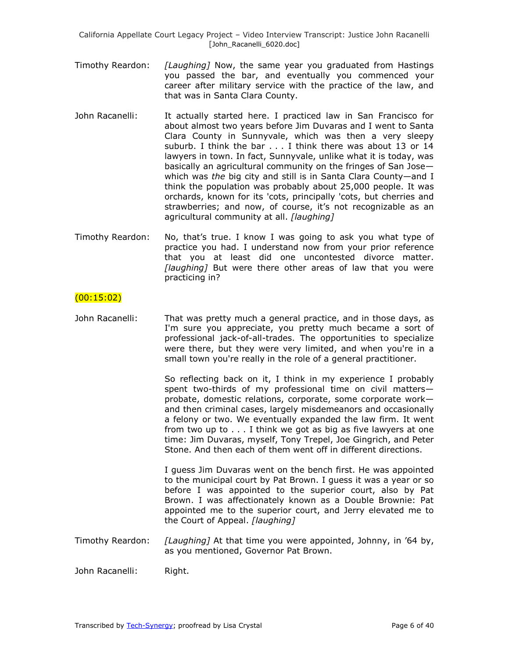- Timothy Reardon: *[Laughing]* Now, the same year you graduated from Hastings you passed the bar, and eventually you commenced your career after military service with the practice of the law, and that was in Santa Clara County.
- John Racanelli: It actually started here. I practiced law in San Francisco for about almost two years before Jim Duvaras and I went to Santa Clara County in Sunnyvale, which was then a very sleepy suburb. I think the bar . . . I think there was about 13 or 14 lawyers in town. In fact, Sunnyvale, unlike what it is today, was basically an agricultural community on the fringes of San Jose which was *the* big city and still is in Santa Clara County—and I think the population was probably about 25,000 people. It was orchards, known for its 'cots, principally 'cots, but cherries and strawberries; and now, of course, it's not recognizable as an agricultural community at all. *[laughing]*
- Timothy Reardon: No, that's true. I know I was going to ask you what type of practice you had. I understand now from your prior reference that you at least did one uncontested divorce matter. *[laughing]* But were there other areas of law that you were practicing in?

### $(00:15:02)$

John Racanelli: That was pretty much a general practice, and in those days, as I'm sure you appreciate, you pretty much became a sort of professional jack-of-all-trades. The opportunities to specialize were there, but they were very limited, and when you're in a small town you're really in the role of a general practitioner.

> So reflecting back on it, I think in my experience I probably spent two-thirds of my professional time on civil matters probate, domestic relations, corporate, some corporate work and then criminal cases, largely misdemeanors and occasionally a felony or two. We eventually expanded the law firm. It went from two up to . . . I think we got as big as five lawyers at one time: Jim Duvaras, myself, Tony Trepel, Joe Gingrich, and Peter Stone. And then each of them went off in different directions.

> I guess Jim Duvaras went on the bench first. He was appointed to the municipal court by Pat Brown. I guess it was a year or so before I was appointed to the superior court, also by Pat Brown. I was affectionately known as a Double Brownie: Pat appointed me to the superior court, and Jerry elevated me to the Court of Appeal. *[laughing]*

Timothy Reardon: *[Laughing]* At that time you were appointed, Johnny, in '64 by, as you mentioned, Governor Pat Brown.

John Racanelli: Right.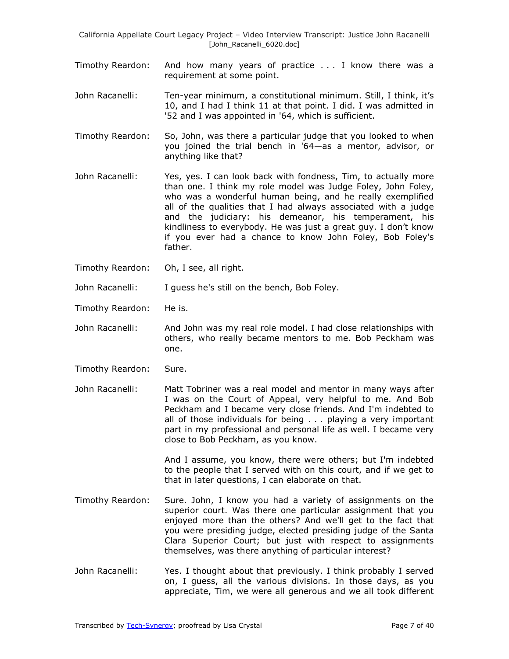- Timothy Reardon: And how many years of practice . . . I know there was a requirement at some point.
- John Racanelli: Ten-year minimum, a constitutional minimum. Still, I think, it's 10, and I had I think 11 at that point. I did. I was admitted in '52 and I was appointed in '64, which is sufficient.
- Timothy Reardon: So, John, was there a particular judge that you looked to when you joined the trial bench in '64—as a mentor, advisor, or anything like that?
- John Racanelli: Yes, yes. I can look back with fondness, Tim, to actually more than one. I think my role model was Judge Foley, John Foley, who was a wonderful human being, and he really exemplified all of the qualities that I had always associated with a judge and the judiciary: his demeanor, his temperament, his kindliness to everybody. He was just a great guy. I don't know if you ever had a chance to know John Foley, Bob Foley's father.
- Timothy Reardon: Oh, I see, all right.

John Racanelli: I guess he's still on the bench, Bob Foley.

- Timothy Reardon: He is.
- John Racanelli: And John was my real role model. I had close relationships with others, who really became mentors to me. Bob Peckham was one.
- Timothy Reardon: Sure.

John Racanelli: Matt Tobriner was a real model and mentor in many ways after I was on the Court of Appeal, very helpful to me. And Bob Peckham and I became very close friends. And I'm indebted to all of those individuals for being . . . playing a very important part in my professional and personal life as well. I became very close to Bob Peckham, as you know.

> And I assume, you know, there were others; but I'm indebted to the people that I served with on this court, and if we get to that in later questions, I can elaborate on that.

- Timothy Reardon: Sure. John, I know you had a variety of assignments on the superior court. Was there one particular assignment that you enjoyed more than the others? And we'll get to the fact that you were presiding judge, elected presiding judge of the Santa Clara Superior Court; but just with respect to assignments themselves, was there anything of particular interest?
- John Racanelli: Yes. I thought about that previously. I think probably I served on, I guess, all the various divisions. In those days, as you appreciate, Tim, we were all generous and we all took different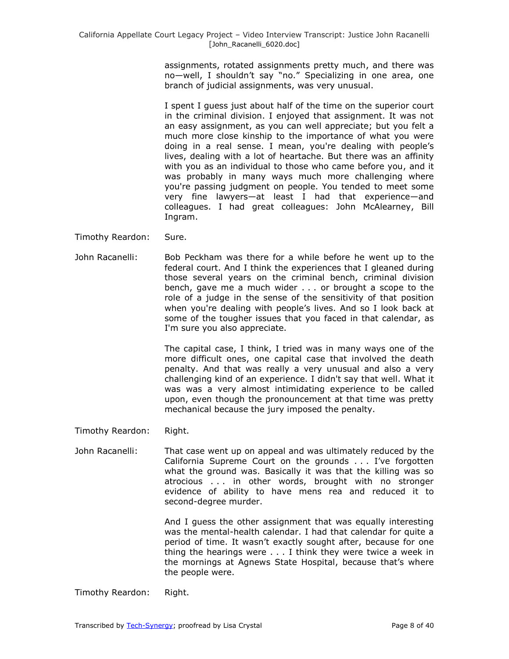assignments, rotated assignments pretty much, and there was no—well, I shouldn't say "no." Specializing in one area, one branch of judicial assignments, was very unusual.

I spent I guess just about half of the time on the superior court in the criminal division. I enjoyed that assignment. It was not an easy assignment, as you can well appreciate; but you felt a much more close kinship to the importance of what you were doing in a real sense. I mean, you're dealing with people's lives, dealing with a lot of heartache. But there was an affinity with you as an individual to those who came before you, and it was probably in many ways much more challenging where you're passing judgment on people. You tended to meet some very fine lawyers—at least I had that experience—and colleagues. I had great colleagues: John McAlearney, Bill Ingram.

- Timothy Reardon: Sure.
- John Racanelli: Bob Peckham was there for a while before he went up to the federal court. And I think the experiences that I gleaned during those several years on the criminal bench, criminal division bench, gave me a much wider . . . or brought a scope to the role of a judge in the sense of the sensitivity of that position when you're dealing with people's lives. And so I look back at some of the tougher issues that you faced in that calendar, as I'm sure you also appreciate.

The capital case, I think, I tried was in many ways one of the more difficult ones, one capital case that involved the death penalty. And that was really a very unusual and also a very challenging kind of an experience. I didn't say that well. What it was was a very almost intimidating experience to be called upon, even though the pronouncement at that time was pretty mechanical because the jury imposed the penalty.

Timothy Reardon: Right.

John Racanelli: That case went up on appeal and was ultimately reduced by the California Supreme Court on the grounds . . . I've forgotten what the ground was. Basically it was that the killing was so atrocious . . . in other words, brought with no stronger evidence of ability to have mens rea and reduced it to second-degree murder.

> And I guess the other assignment that was equally interesting was the mental-health calendar. I had that calendar for quite a period of time. It wasn't exactly sought after, because for one thing the hearings were . . . I think they were twice a week in the mornings at Agnews State Hospital, because that's where the people were.

Timothy Reardon: Right.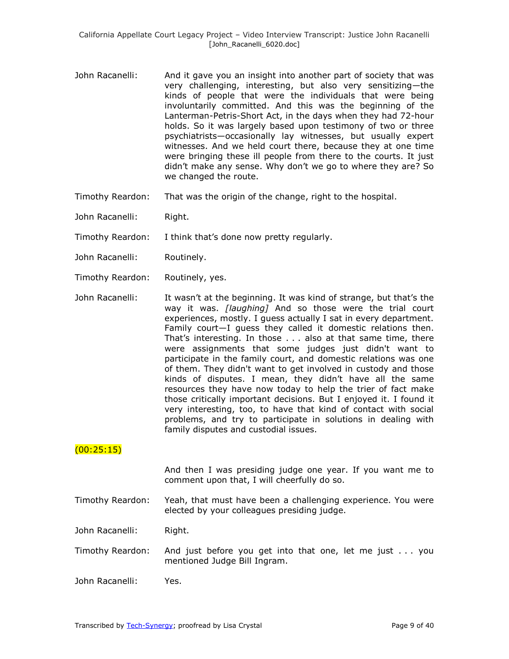- John Racanelli: And it gave you an insight into another part of society that was very challenging, interesting, but also very sensitizing—the kinds of people that were the individuals that were being involuntarily committed. And this was the beginning of the Lanterman-Petris-Short Act, in the days when they had 72-hour holds. So it was largely based upon testimony of two or three psychiatrists—occasionally lay witnesses, but usually expert witnesses. And we held court there, because they at one time were bringing these ill people from there to the courts. It just didn't make any sense. Why don't we go to where they are? So we changed the route.
- Timothy Reardon: That was the origin of the change, right to the hospital.
- John Racanelli: Right.
- Timothy Reardon: I think that's done now pretty regularly.
- John Racanelli: Routinely.
- Timothy Reardon: Routinely, yes.
- John Racanelli: It wasn't at the beginning. It was kind of strange, but that's the way it was. *[laughing]* And so those were the trial court experiences, mostly. I guess actually I sat in every department. Family court—I guess they called it domestic relations then. That's interesting. In those . . . also at that same time, there were assignments that some judges just didn't want to participate in the family court, and domestic relations was one of them. They didn't want to get involved in custody and those kinds of disputes. I mean, they didn't have all the same resources they have now today to help the trier of fact make those critically important decisions. But I enjoyed it. I found it very interesting, too, to have that kind of contact with social problems, and try to participate in solutions in dealing with family disputes and custodial issues.

#### $(00:25:15)$

And then I was presiding judge one year. If you want me to comment upon that, I will cheerfully do so.

Timothy Reardon: Yeah, that must have been a challenging experience. You were elected by your colleagues presiding judge.

John Racanelli: Right.

- Timothy Reardon: And just before you get into that one, let me just . . . you mentioned Judge Bill Ingram.
- John Racanelli: Yes.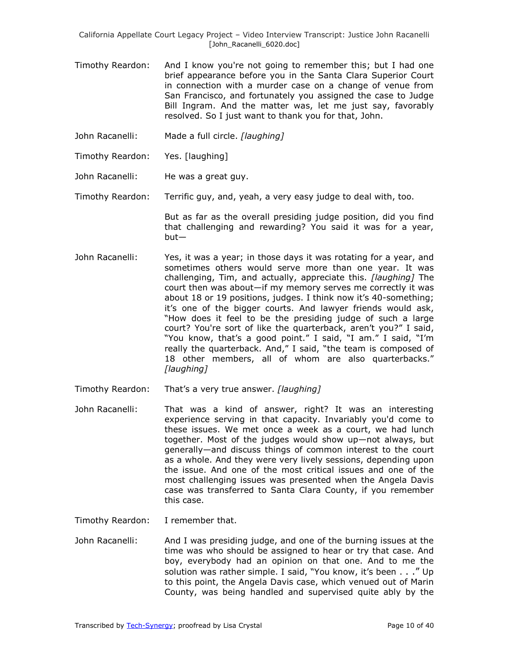- Timothy Reardon: And I know you're not going to remember this; but I had one brief appearance before you in the Santa Clara Superior Court in connection with a murder case on a change of venue from San Francisco, and fortunately you assigned the case to Judge Bill Ingram. And the matter was, let me just say, favorably resolved. So I just want to thank you for that, John.
- John Racanelli: Made a full circle. *[laughing]*
- Timothy Reardon: Yes. [laughing]
- John Racanelli: He was a great guy.
- Timothy Reardon: Terrific guy, and, yeah, a very easy judge to deal with, too.

But as far as the overall presiding judge position, did you find that challenging and rewarding? You said it was for a year, but—

- John Racanelli: Yes, it was a year; in those days it was rotating for a year, and sometimes others would serve more than one year. It was challenging, Tim, and actually, appreciate this. *[laughing]* The court then was about—if my memory serves me correctly it was about 18 or 19 positions, judges. I think now it's 40-something; it's one of the bigger courts. And lawyer friends would ask, "How does it feel to be the presiding judge of such a large court? You're sort of like the quarterback, aren't you?" I said, "You know, that's a good point." I said, "I am." I said, "I'm really the quarterback. And," I said, "the team is composed of 18 other members, all of whom are also quarterbacks." *[laughing]*
- Timothy Reardon: That's a very true answer. *[laughing]*
- John Racanelli: That was a kind of answer, right? It was an interesting experience serving in that capacity. Invariably you'd come to these issues. We met once a week as a court, we had lunch together. Most of the judges would show up—not always, but generally—and discuss things of common interest to the court as a whole. And they were very lively sessions, depending upon the issue. And one of the most critical issues and one of the most challenging issues was presented when the Angela Davis case was transferred to Santa Clara County, if you remember this case.
- Timothy Reardon: I remember that.
- John Racanelli: And I was presiding judge, and one of the burning issues at the time was who should be assigned to hear or try that case. And boy, everybody had an opinion on that one. And to me the solution was rather simple. I said, "You know, it's been . . ." Up to this point, the Angela Davis case, which venued out of Marin County, was being handled and supervised quite ably by the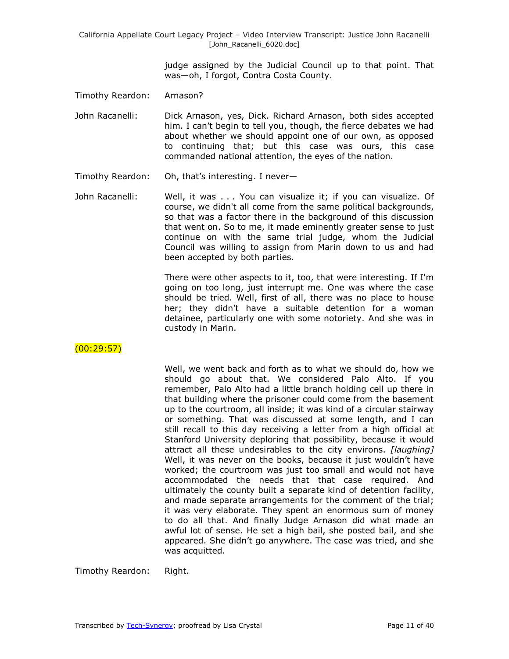> judge assigned by the Judicial Council up to that point. That was—oh, I forgot, Contra Costa County.

Timothy Reardon: Arnason?

John Racanelli: Dick Arnason, yes, Dick. Richard Arnason, both sides accepted him. I can't begin to tell you, though, the fierce debates we had about whether we should appoint one of our own, as opposed to continuing that; but this case was ours, this case commanded national attention, the eyes of the nation.

- Timothy Reardon: Oh, that's interesting. I never—
- John Racanelli: Well, it was . . . You can visualize it; if you can visualize. Of course, we didn't all come from the same political backgrounds, so that was a factor there in the background of this discussion that went on. So to me, it made eminently greater sense to just continue on with the same trial judge, whom the Judicial Council was willing to assign from Marin down to us and had been accepted by both parties.

There were other aspects to it, too, that were interesting. If I'm going on too long, just interrupt me. One was where the case should be tried. Well, first of all, there was no place to house her; they didn't have a suitable detention for a woman detainee, particularly one with some notoriety. And she was in custody in Marin.

 $(00:29:57)$ 

Well, we went back and forth as to what we should do, how we should go about that. We considered Palo Alto. If you remember, Palo Alto had a little branch holding cell up there in that building where the prisoner could come from the basement up to the courtroom, all inside; it was kind of a circular stairway or something. That was discussed at some length, and I can still recall to this day receiving a letter from a high official at Stanford University deploring that possibility, because it would attract all these undesirables to the city environs. *[laughing]* Well, it was never on the books, because it just wouldn't have worked; the courtroom was just too small and would not have accommodated the needs that that case required. And ultimately the county built a separate kind of detention facility, and made separate arrangements for the comment of the trial; it was very elaborate. They spent an enormous sum of money to do all that. And finally Judge Arnason did what made an awful lot of sense. He set a high bail, she posted bail, and she appeared. She didn't go anywhere. The case was tried, and she was acquitted.

Timothy Reardon: Right.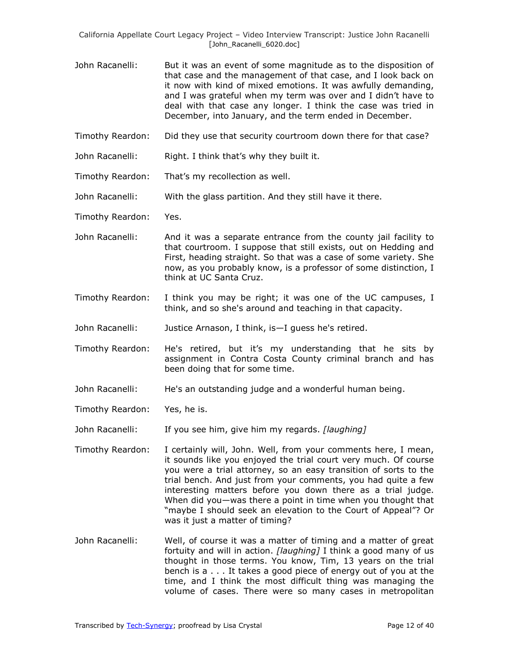- John Racanelli: But it was an event of some magnitude as to the disposition of that case and the management of that case, and I look back on it now with kind of mixed emotions. It was awfully demanding, and I was grateful when my term was over and I didn't have to deal with that case any longer. I think the case was tried in December, into January, and the term ended in December.
- Timothy Reardon: Did they use that security courtroom down there for that case?
- John Racanelli: Right. I think that's why they built it.
- Timothy Reardon: That's my recollection as well.
- John Racanelli: With the glass partition. And they still have it there.
- Timothy Reardon: Yes.
- John Racanelli: And it was a separate entrance from the county jail facility to that courtroom. I suppose that still exists, out on Hedding and First, heading straight. So that was a case of some variety. She now, as you probably know, is a professor of some distinction, I think at UC Santa Cruz.
- Timothy Reardon: I think you may be right; it was one of the UC campuses, I think, and so she's around and teaching in that capacity.
- John Racanelli: Justice Arnason, I think, is—I guess he's retired.
- Timothy Reardon: He's retired, but it's my understanding that he sits by assignment in Contra Costa County criminal branch and has been doing that for some time.
- John Racanelli: He's an outstanding judge and a wonderful human being.
- Timothy Reardon: Yes, he is.
- John Racanelli: If you see him, give him my regards. *[laughing]*
- Timothy Reardon: I certainly will, John. Well, from your comments here, I mean, it sounds like you enjoyed the trial court very much. Of course you were a trial attorney, so an easy transition of sorts to the trial bench. And just from your comments, you had quite a few interesting matters before you down there as a trial judge. When did you—was there a point in time when you thought that "maybe I should seek an elevation to the Court of Appeal"? Or was it just a matter of timing?
- John Racanelli: Well, of course it was a matter of timing and a matter of great fortuity and will in action. *[laughing]* I think a good many of us thought in those terms. You know, Tim, 13 years on the trial bench is a . . . It takes a good piece of energy out of you at the time, and I think the most difficult thing was managing the volume of cases. There were so many cases in metropolitan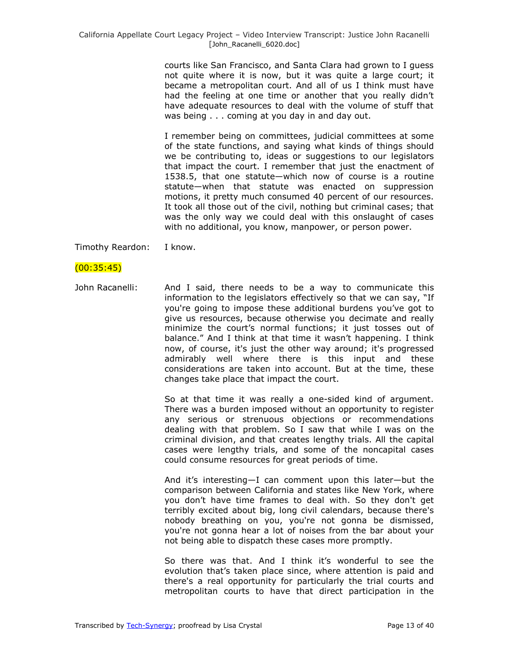courts like San Francisco, and Santa Clara had grown to I guess not quite where it is now, but it was quite a large court; it became a metropolitan court. And all of us I think must have had the feeling at one time or another that you really didn't have adequate resources to deal with the volume of stuff that was being . . . coming at you day in and day out.

I remember being on committees, judicial committees at some of the state functions, and saying what kinds of things should we be contributing to, ideas or suggestions to our legislators that impact the court. I remember that just the enactment of 1538.5, that one statute—which now of course is a routine statute—when that statute was enacted on suppression motions, it pretty much consumed 40 percent of our resources. It took all those out of the civil, nothing but criminal cases; that was the only way we could deal with this onslaught of cases with no additional, you know, manpower, or person power.

Timothy Reardon: I know.

### $(00:35:45)$

John Racanelli: And I said, there needs to be a way to communicate this information to the legislators effectively so that we can say, "If you're going to impose these additional burdens you've got to give us resources, because otherwise you decimate and really minimize the court's normal functions; it just tosses out of balance." And I think at that time it wasn't happening. I think now, of course, it's just the other way around; it's progressed admirably well where there is this input and these considerations are taken into account. But at the time, these changes take place that impact the court.

> So at that time it was really a one-sided kind of argument. There was a burden imposed without an opportunity to register any serious or strenuous objections or recommendations dealing with that problem. So I saw that while I was on the criminal division, and that creates lengthy trials. All the capital cases were lengthy trials, and some of the noncapital cases could consume resources for great periods of time.

> And it's interesting—I can comment upon this later—but the comparison between California and states like New York, where you don't have time frames to deal with. So they don't get terribly excited about big, long civil calendars, because there's nobody breathing on you, you're not gonna be dismissed, you're not gonna hear a lot of noises from the bar about your not being able to dispatch these cases more promptly.

> So there was that. And I think it's wonderful to see the evolution that's taken place since, where attention is paid and there's a real opportunity for particularly the trial courts and metropolitan courts to have that direct participation in the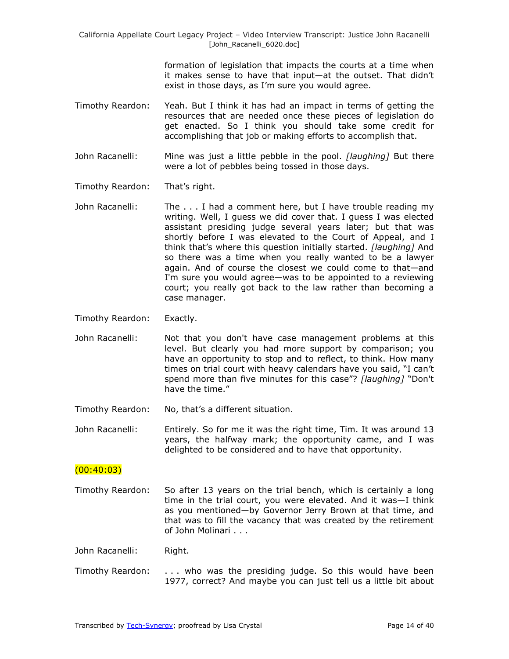> formation of legislation that impacts the courts at a time when it makes sense to have that input—at the outset. That didn't exist in those days, as I'm sure you would agree.

Timothy Reardon: Yeah. But I think it has had an impact in terms of getting the resources that are needed once these pieces of legislation do get enacted. So I think you should take some credit for accomplishing that job or making efforts to accomplish that.

John Racanelli: Mine was just a little pebble in the pool. *[laughing]* But there were a lot of pebbles being tossed in those days.

Timothy Reardon: That's right.

- John Racanelli: The . . . I had a comment here, but I have trouble reading my writing. Well, I guess we did cover that. I guess I was elected assistant presiding judge several years later; but that was shortly before I was elevated to the Court of Appeal, and I think that's where this question initially started. *[laughing]* And so there was a time when you really wanted to be a lawyer again. And of course the closest we could come to that—and I'm sure you would agree—was to be appointed to a reviewing court; you really got back to the law rather than becoming a case manager.
- Timothy Reardon: Exactly.
- John Racanelli: Not that you don't have case management problems at this level. But clearly you had more support by comparison; you have an opportunity to stop and to reflect, to think. How many times on trial court with heavy calendars have you said, "I can't spend more than five minutes for this case"? [laughing] "Don't have the time."
- Timothy Reardon: No, that's a different situation.
- John Racanelli: Entirely. So for me it was the right time, Tim. It was around 13 years, the halfway mark; the opportunity came, and I was delighted to be considered and to have that opportunity.

#### $(00:40:03)$

Timothy Reardon: So after 13 years on the trial bench, which is certainly a long time in the trial court, you were elevated. And it was—I think as you mentioned—by Governor Jerry Brown at that time, and that was to fill the vacancy that was created by the retirement of John Molinari . . .

John Racanelli: Right.

Timothy Reardon: . . . who was the presiding judge. So this would have been 1977, correct? And maybe you can just tell us a little bit about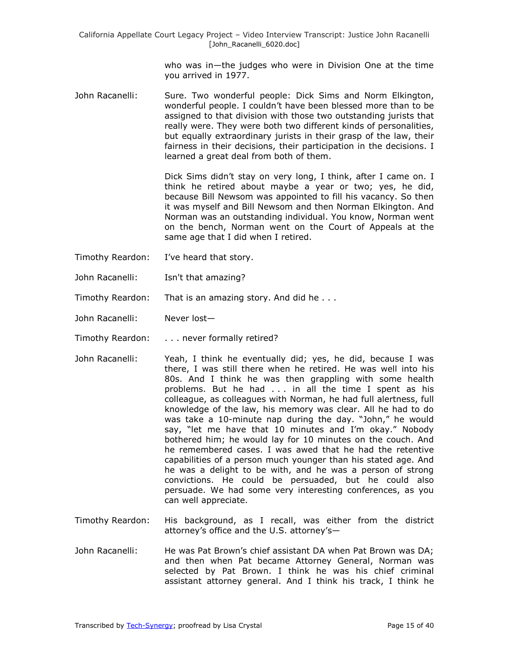who was in—the judges who were in Division One at the time you arrived in 1977.

John Racanelli: Sure. Two wonderful people: Dick Sims and Norm Elkington, wonderful people. I couldn't have been blessed more than to be assigned to that division with those two outstanding jurists that really were. They were both two different kinds of personalities, but equally extraordinary jurists in their grasp of the law, their fairness in their decisions, their participation in the decisions. I learned a great deal from both of them.

> Dick Sims didn't stay on very long, I think, after I came on. I think he retired about maybe a year or two; yes, he did, because Bill Newsom was appointed to fill his vacancy. So then it was myself and Bill Newsom and then Norman Elkington. And Norman was an outstanding individual. You know, Norman went on the bench, Norman went on the Court of Appeals at the same age that I did when I retired.

- Timothy Reardon: I've heard that story.
- John Racanelli: Isn't that amazing?
- Timothy Reardon: That is an amazing story. And did he . . .
- John Racanelli: Never lost—
- Timothy Reardon: . . . never formally retired?
- John Racanelli: Yeah, I think he eventually did; yes, he did, because I was there, I was still there when he retired. He was well into his 80s. And I think he was then grappling with some health problems. But he had . . . in all the time I spent as his colleague, as colleagues with Norman, he had full alertness, full knowledge of the law, his memory was clear. All he had to do was take a 10-minute nap during the day. "John," he would say, "let me have that 10 minutes and I'm okay." Nobody bothered him; he would lay for 10 minutes on the couch. And he remembered cases. I was awed that he had the retentive capabilities of a person much younger than his stated age. And he was a delight to be with, and he was a person of strong convictions. He could be persuaded, but he could also persuade. We had some very interesting conferences, as you can well appreciate.
- Timothy Reardon: His background, as I recall, was either from the district attorney's office and the U.S. attorney's—
- John Racanelli: He was Pat Brown's chief assistant DA when Pat Brown was DA; and then when Pat became Attorney General, Norman was selected by Pat Brown. I think he was his chief criminal assistant attorney general. And I think his track, I think he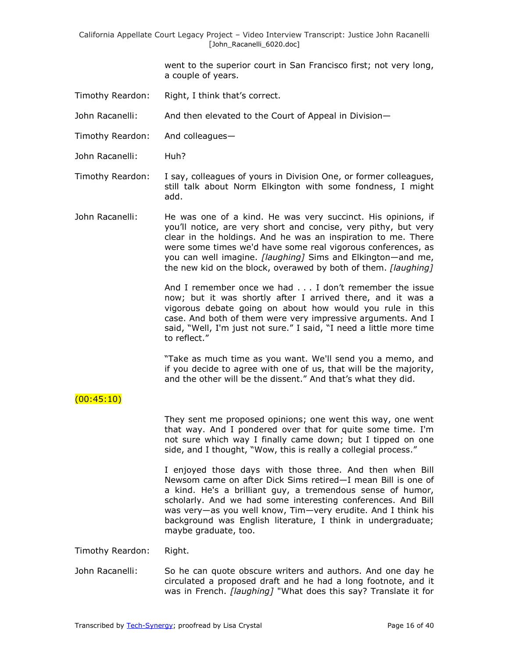> went to the superior court in San Francisco first; not very long, a couple of years.

Timothy Reardon: Right, I think that's correct.

John Racanelli: And then elevated to the Court of Appeal in Division—

- Timothy Reardon: And colleagues—
- John Racanelli: Huh?
- Timothy Reardon: I say, colleagues of yours in Division One, or former colleagues, still talk about Norm Elkington with some fondness, I might add.
- John Racanelli: He was one of a kind. He was very succinct. His opinions, if you'll notice, are very short and concise, very pithy, but very clear in the holdings. And he was an inspiration to me. There were some times we'd have some real vigorous conferences, as you can well imagine. *[laughing]* Sims and Elkington—and me, the new kid on the block, overawed by both of them. *[laughing]*

And I remember once we had . . . I don't remember the issue now; but it was shortly after I arrived there, and it was a vigorous debate going on about how would you rule in this case. And both of them were very impressive arguments. And I said, "Well, I'm just not sure." I said, "I need a little more time to reflect."

"Take as much time as you want. We'll send you a memo, and if you decide to agree with one of us, that will be the majority, and the other will be the dissent." And that's what they did.

#### $(00:45:10)$

They sent me proposed opinions; one went this way, one went that way. And I pondered over that for quite some time. I'm not sure which way I finally came down; but I tipped on one side, and I thought, "Wow, this is really a collegial process."

I enjoyed those days with those three. And then when Bill Newsom came on after Dick Sims retired—I mean Bill is one of a kind. He's a brilliant guy, a tremendous sense of humor, scholarly. And we had some interesting conferences. And Bill was very—as you well know, Tim—very erudite. And I think his background was English literature, I think in undergraduate; maybe graduate, too.

Timothy Reardon: Right.

John Racanelli: So he can quote obscure writers and authors. And one day he circulated a proposed draft and he had a long footnote, and it was in French. *[laughing]* "What does this say? Translate it for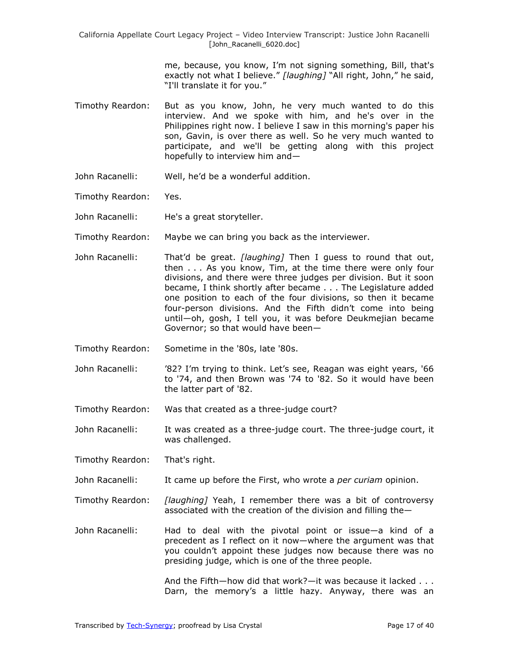> me, because, you know, I'm not signing something, Bill, that's exactly not what I believe." [laughing] "All right, John," he said, "I'll translate it for you."

- Timothy Reardon: But as you know, John, he very much wanted to do this interview. And we spoke with him, and he's over in the Philippines right now. I believe I saw in this morning's paper his son, Gavin, is over there as well. So he very much wanted to participate, and we'll be getting along with this project hopefully to interview him and—
- John Racanelli: Well, he'd be a wonderful addition.
- Timothy Reardon: Yes.
- John Racanelli: He's a great storyteller.
- Timothy Reardon: Maybe we can bring you back as the interviewer.
- John Racanelli: That'd be great. *[laughing]* Then I guess to round that out, then . . . As you know, Tim, at the time there were only four divisions, and there were three judges per division. But it soon became, I think shortly after became . . . The Legislature added one position to each of the four divisions, so then it became four-person divisions. And the Fifth didn't come into being until—oh, gosh, I tell you, it was before Deukmejian became Governor; so that would have been—
- Timothy Reardon: Sometime in the '80s, late '80s.
- John Racanelli: '82? I'm trying to think. Let's see, Reagan was eight years, '66 to '74, and then Brown was '74 to '82. So it would have been the latter part of '82.
- Timothy Reardon: Was that created as a three-judge court?
- John Racanelli: It was created as a three-judge court. The three-judge court, it was challenged.
- Timothy Reardon: That's right.
- John Racanelli: It came up before the First, who wrote a *per curiam* opinion.

Timothy Reardon: *[laughing]* Yeah, I remember there was a bit of controversy associated with the creation of the division and filling the—

John Racanelli: Had to deal with the pivotal point or issue—a kind of a precedent as I reflect on it now—where the argument was that you couldn't appoint these judges now because there was no presiding judge, which is one of the three people.

> And the Fifth—how did that work?—it was because it lacked . . . Darn, the memory's a little hazy. Anyway, there was an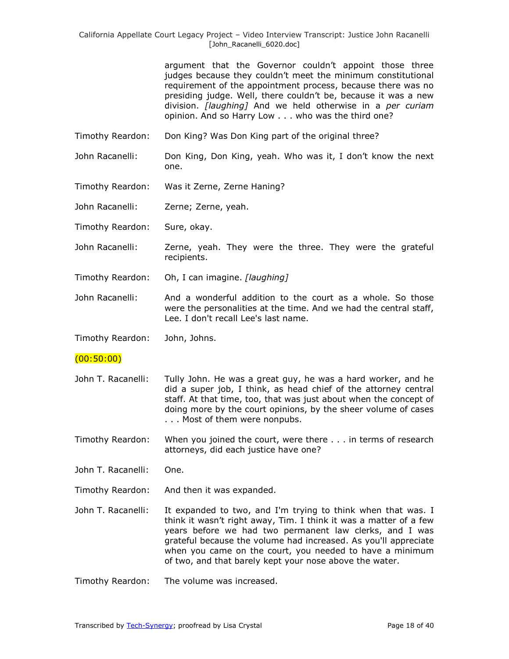argument that the Governor couldn't appoint those three judges because they couldn't meet the minimum constitutional requirement of the appointment process, because there was no presiding judge. Well, there couldn't be, because it was a new division. *[laughing]* And we held otherwise in a *per curiam* opinion. And so Harry Low . . . who was the third one?

- Timothy Reardon: Don King? Was Don King part of the original three?
- John Racanelli: Don King, Don King, yeah. Who was it, I don't know the next one.
- Timothy Reardon: Was it Zerne, Zerne Haning?
- John Racanelli: Zerne; Zerne, yeah.
- Timothy Reardon: Sure, okay.
- John Racanelli: Zerne, yeah. They were the three. They were the grateful recipients.
- Timothy Reardon: Oh, I can imagine. *[laughing]*
- John Racanelli: And a wonderful addition to the court as a whole. So those were the personalities at the time. And we had the central staff, Lee. I don't recall Lee's last name.

Timothy Reardon: John, Johns.

- (00:50:00)
- John T. Racanelli: Tully John. He was a great guy, he was a hard worker, and he did a super job, I think, as head chief of the attorney central staff. At that time, too, that was just about when the concept of doing more by the court opinions, by the sheer volume of cases . . . Most of them were nonpubs.
- Timothy Reardon: When you joined the court, were there . . . in terms of research attorneys, did each justice have one?
- John T. Racanelli: One.
- Timothy Reardon: And then it was expanded.
- John T. Racanelli: It expanded to two, and I'm trying to think when that was. I think it wasn't right away, Tim. I think it was a matter of a few years before we had two permanent law clerks, and I was grateful because the volume had increased. As you'll appreciate when you came on the court, you needed to have a minimum of two, and that barely kept your nose above the water.
- Timothy Reardon: The volume was increased.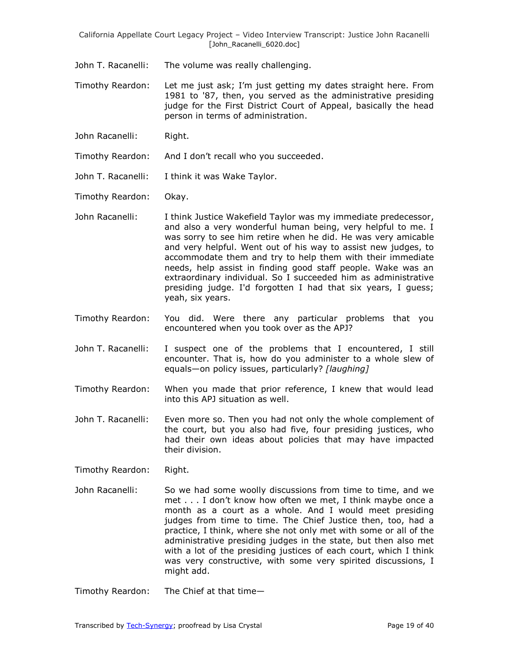John T. Racanelli: The volume was really challenging.

Timothy Reardon: Let me just ask; I'm just getting my dates straight here. From 1981 to '87, then, you served as the administrative presiding judge for the First District Court of Appeal, basically the head person in terms of administration.

John Racanelli: Right.

Timothy Reardon: And I don't recall who you succeeded.

John T. Racanelli: I think it was Wake Taylor.

Timothy Reardon: Okay.

John Racanelli: I think Justice Wakefield Taylor was my immediate predecessor, and also a very wonderful human being, very helpful to me. I was sorry to see him retire when he did. He was very amicable and very helpful. Went out of his way to assist new judges, to accommodate them and try to help them with their immediate needs, help assist in finding good staff people. Wake was an extraordinary individual. So I succeeded him as administrative presiding judge. I'd forgotten I had that six years, I guess; yeah, six years.

- Timothy Reardon: You did. Were there any particular problems that you encountered when you took over as the APJ?
- John T. Racanelli: I suspect one of the problems that I encountered, I still encounter. That is, how do you administer to a whole slew of equals—on policy issues, particularly? *[laughing]*
- Timothy Reardon: When you made that prior reference, I knew that would lead into this APJ situation as well.
- John T. Racanelli: Even more so. Then you had not only the whole complement of the court, but you also had five, four presiding justices, who had their own ideas about policies that may have impacted their division.

Timothy Reardon: Right.

John Racanelli: So we had some woolly discussions from time to time, and we met . . . I don't know how often we met, I think maybe once a month as a court as a whole. And I would meet presiding judges from time to time. The Chief Justice then, too, had a practice, I think, where she not only met with some or all of the administrative presiding judges in the state, but then also met with a lot of the presiding justices of each court, which I think was very constructive, with some very spirited discussions, I might add.

Timothy Reardon: The Chief at that time—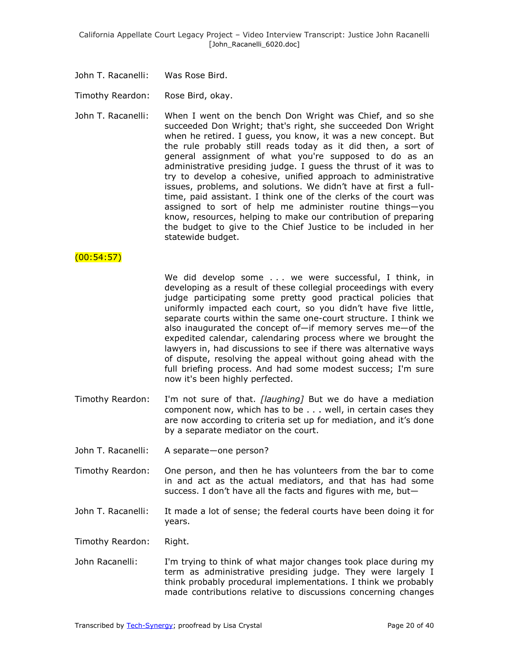John T. Racanelli: Was Rose Bird.

Timothy Reardon: Rose Bird, okay.

John T. Racanelli: When I went on the bench Don Wright was Chief, and so she succeeded Don Wright; that's right, she succeeded Don Wright when he retired. I guess, you know, it was a new concept. But the rule probably still reads today as it did then, a sort of general assignment of what you're supposed to do as an administrative presiding judge. I guess the thrust of it was to try to develop a cohesive, unified approach to administrative issues, problems, and solutions. We didn't have at first a fulltime, paid assistant. I think one of the clerks of the court was assigned to sort of help me administer routine things—you know, resources, helping to make our contribution of preparing the budget to give to the Chief Justice to be included in her statewide budget.

#### $(00:54:57)$

We did develop some . . . we were successful, I think, in developing as a result of these collegial proceedings with every judge participating some pretty good practical policies that uniformly impacted each court, so you didn't have five little, separate courts within the same one-court structure. I think we also inaugurated the concept of—if memory serves me—of the expedited calendar, calendaring process where we brought the lawyers in, had discussions to see if there was alternative ways of dispute, resolving the appeal without going ahead with the full briefing process. And had some modest success; I'm sure now it's been highly perfected.

- Timothy Reardon: I'm not sure of that. *[laughing]* But we do have a mediation component now, which has to be . . . well, in certain cases they are now according to criteria set up for mediation, and it's done by a separate mediator on the court.
- John T. Racanelli: A separate—one person?
- Timothy Reardon: One person, and then he has volunteers from the bar to come in and act as the actual mediators, and that has had some success. I don't have all the facts and figures with me, but—
- John T. Racanelli: It made a lot of sense; the federal courts have been doing it for years.

Timothy Reardon: Right.

John Racanelli: I'm trying to think of what major changes took place during my term as administrative presiding judge. They were largely I think probably procedural implementations. I think we probably made contributions relative to discussions concerning changes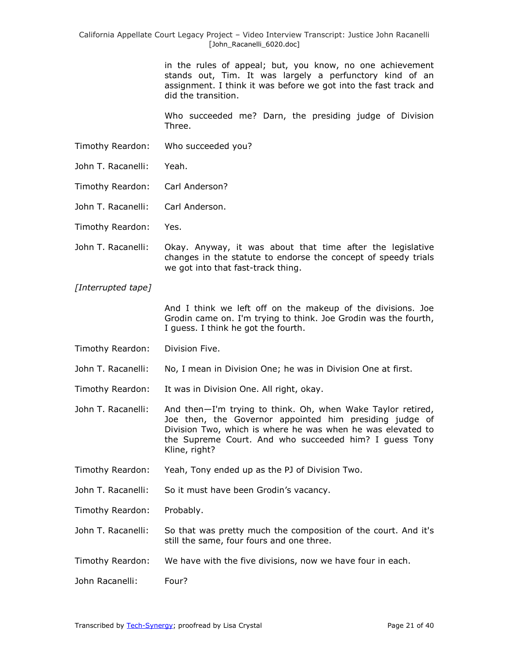in the rules of appeal; but, you know, no one achievement stands out, Tim. It was largely a perfunctory kind of an assignment. I think it was before we got into the fast track and did the transition.

Who succeeded me? Darn, the presiding judge of Division Three.

- Timothy Reardon: Who succeeded you?
- John T. Racanelli: Yeah.
- Timothy Reardon: Carl Anderson?
- John T. Racanelli: Carl Anderson.
- Timothy Reardon: Yes.
- John T. Racanelli: Okay. Anyway, it was about that time after the legislative changes in the statute to endorse the concept of speedy trials we got into that fast-track thing.

*[Interrupted tape]*

And I think we left off on the makeup of the divisions. Joe Grodin came on. I'm trying to think. Joe Grodin was the fourth, I guess. I think he got the fourth.

- Timothy Reardon: Division Five.
- John T. Racanelli: No, I mean in Division One; he was in Division One at first.

Timothy Reardon: It was in Division One. All right, okay.

- John T. Racanelli: And then—I'm trying to think. Oh, when Wake Taylor retired, Joe then, the Governor appointed him presiding judge of Division Two, which is where he was when he was elevated to the Supreme Court. And who succeeded him? I guess Tony Kline, right?
- Timothy Reardon: Yeah, Tony ended up as the PJ of Division Two.

John T. Racanelli: So it must have been Grodin's vacancy.

Timothy Reardon: Probably.

- John T. Racanelli: So that was pretty much the composition of the court. And it's still the same, four fours and one three.
- Timothy Reardon: We have with the five divisions, now we have four in each.
- John Racanelli: Four?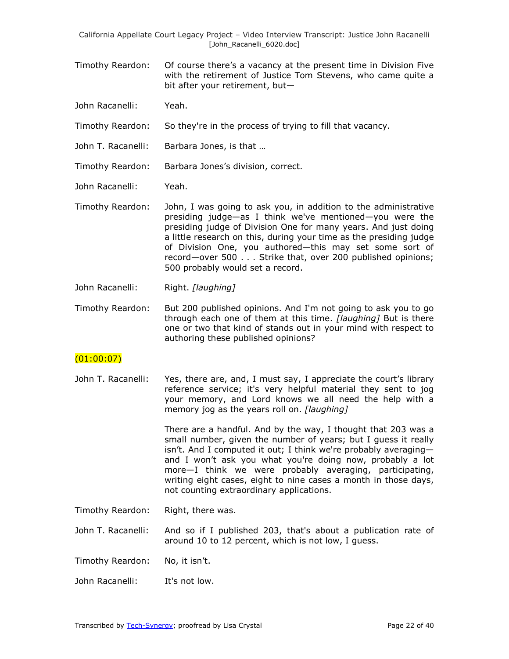- Timothy Reardon: Of course there's a vacancy at the present time in Division Five with the retirement of Justice Tom Stevens, who came quite a bit after your retirement, but—
- John Racanelli: Yeah.
- Timothy Reardon: So they're in the process of trying to fill that vacancy.
- John T. Racanelli: Barbara Jones, is that ...
- Timothy Reardon: Barbara Jones's division, correct.
- John Racanelli: Yeah.
- Timothy Reardon: John, I was going to ask you, in addition to the administrative presiding judge—as I think we've mentioned—you were the presiding judge of Division One for many years. And just doing a little research on this, during your time as the presiding judge of Division One, you authored—this may set some sort of record—over 500 . . . Strike that, over 200 published opinions; 500 probably would set a record.
- John Racanelli: Right. *[laughing]*
- Timothy Reardon: But 200 published opinions. And I'm not going to ask you to go through each one of them at this time. *[laughing]* But is there one or two that kind of stands out in your mind with respect to authoring these published opinions?

### $(01:00:07)$

John T. Racanelli: Yes, there are, and, I must say, I appreciate the court's library reference service; it's very helpful material they sent to jog your memory, and Lord knows we all need the help with a memory jog as the years roll on. *[laughing]*

> There are a handful. And by the way, I thought that 203 was a small number, given the number of years; but I guess it really isn't. And I computed it out; I think we're probably averaging and I won't ask you what you're doing now, probably a lot more—I think we were probably averaging, participating, writing eight cases, eight to nine cases a month in those days, not counting extraordinary applications.

- Timothy Reardon: Right, there was.
- John T. Racanelli: And so if I published 203, that's about a publication rate of around 10 to 12 percent, which is not low, I guess.
- Timothy Reardon: No, it isn't.
- John Racanelli: It's not low.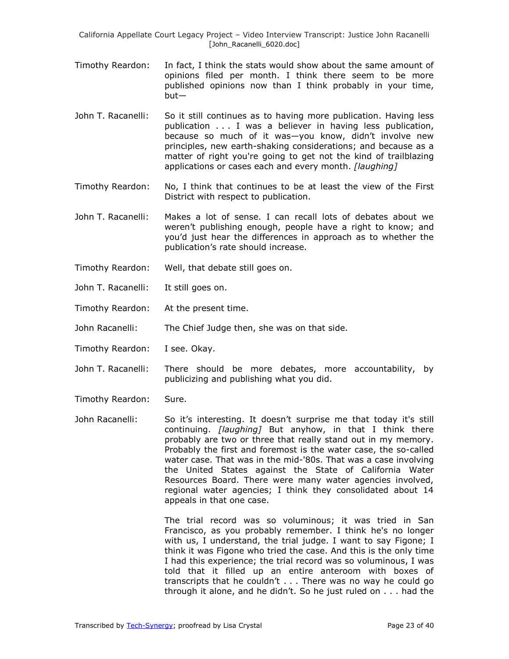- Timothy Reardon: In fact, I think the stats would show about the same amount of opinions filed per month. I think there seem to be more published opinions now than I think probably in your time, but—
- John T. Racanelli: So it still continues as to having more publication. Having less publication . . . I was a believer in having less publication, because so much of it was—you know, didn't involve new principles, new earth-shaking considerations; and because as a matter of right you're going to get not the kind of trailblazing applications or cases each and every month. *[laughing]*
- Timothy Reardon: No, I think that continues to be at least the view of the First District with respect to publication.
- John T. Racanelli: Makes a lot of sense. I can recall lots of debates about we weren't publishing enough, people have a right to know; and you'd just hear the differences in approach as to whether the publication's rate should increase.
- Timothy Reardon: Well, that debate still goes on.
- John T. Racanelli: It still goes on.
- Timothy Reardon: At the present time.
- John Racanelli: The Chief Judge then, she was on that side.
- Timothy Reardon: I see. Okay.
- John T. Racanelli: There should be more debates, more accountability, by publicizing and publishing what you did.
- Timothy Reardon: Sure.
- John Racanelli: So it's interesting. It doesn't surprise me that today it's still continuing. *[laughing]* But anyhow, in that I think there probably are two or three that really stand out in my memory. Probably the first and foremost is the water case, the so-called water case. That was in the mid-'80s. That was a case involving the United States against the State of California Water Resources Board. There were many water agencies involved, regional water agencies; I think they consolidated about 14 appeals in that one case.

The trial record was so voluminous; it was tried in San Francisco, as you probably remember. I think he's no longer with us, I understand, the trial judge. I want to say Figone; I think it was Figone who tried the case. And this is the only time I had this experience; the trial record was so voluminous, I was told that it filled up an entire anteroom with boxes of transcripts that he couldn't . . . There was no way he could go through it alone, and he didn't. So he just ruled on . . . had the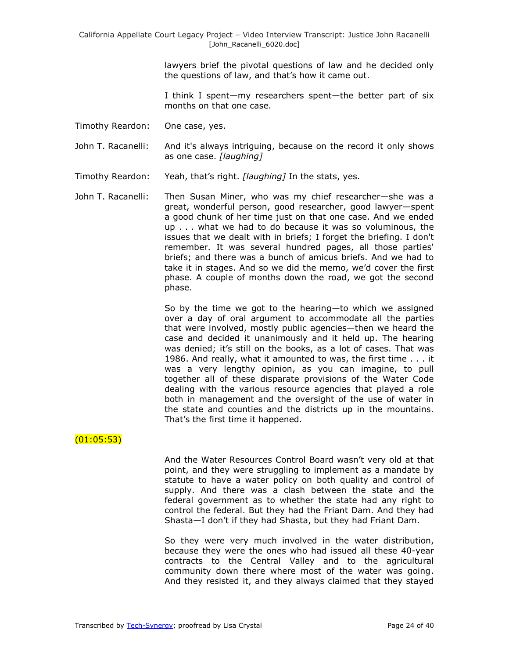lawyers brief the pivotal questions of law and he decided only the questions of law, and that's how it came out.

I think I spent—my researchers spent—the better part of six months on that one case.

- Timothy Reardon: One case, yes.
- John T. Racanelli: And it's always intriguing, because on the record it only shows as one case. *[laughing]*
- Timothy Reardon: Yeah, that's right. *[laughing]* In the stats, yes.
- John T. Racanelli: Then Susan Miner, who was my chief researcher—she was a great, wonderful person, good researcher, good lawyer—spent a good chunk of her time just on that one case. And we ended up . . . what we had to do because it was so voluminous, the issues that we dealt with in briefs; I forget the briefing. I don't remember. It was several hundred pages, all those parties' briefs; and there was a bunch of amicus briefs. And we had to take it in stages. And so we did the memo, we'd cover the first phase. A couple of months down the road, we got the second phase.

So by the time we got to the hearing—to which we assigned over a day of oral argument to accommodate all the parties that were involved, mostly public agencies—then we heard the case and decided it unanimously and it held up. The hearing was denied; it's still on the books, as a lot of cases. That was 1986. And really, what it amounted to was, the first time . . . it was a very lengthy opinion, as you can imagine, to pull together all of these disparate provisions of the Water Code dealing with the various resource agencies that played a role both in management and the oversight of the use of water in the state and counties and the districts up in the mountains. That's the first time it happened.

## $(01:05:53)$

And the Water Resources Control Board wasn't very old at that point, and they were struggling to implement as a mandate by statute to have a water policy on both quality and control of supply. And there was a clash between the state and the federal government as to whether the state had any right to control the federal. But they had the Friant Dam. And they had Shasta—I don't if they had Shasta, but they had Friant Dam.

So they were very much involved in the water distribution, because they were the ones who had issued all these 40-year contracts to the Central Valley and to the agricultural community down there where most of the water was going. And they resisted it, and they always claimed that they stayed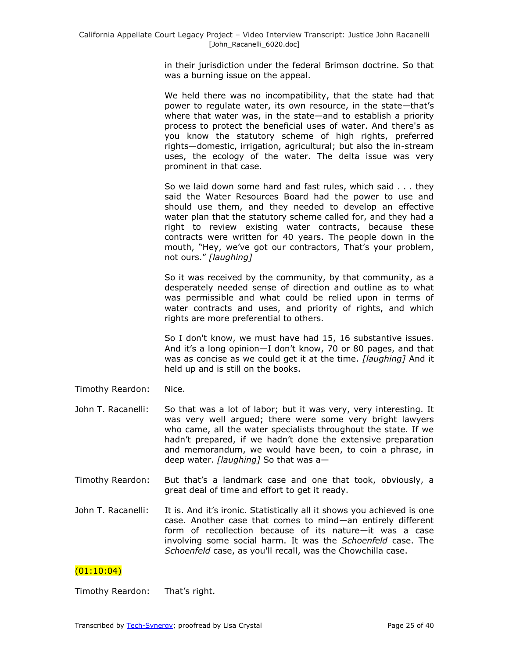in their jurisdiction under the federal Brimson doctrine. So that was a burning issue on the appeal.

We held there was no incompatibility, that the state had that power to regulate water, its own resource, in the state—that's where that water was, in the state—and to establish a priority process to protect the beneficial uses of water. And there's as you know the statutory scheme of high rights, preferred rights—domestic, irrigation, agricultural; but also the in-stream uses, the ecology of the water. The delta issue was very prominent in that case.

So we laid down some hard and fast rules, which said . . . they said the Water Resources Board had the power to use and should use them, and they needed to develop an effective water plan that the statutory scheme called for, and they had a right to review existing water contracts, because these contracts were written for 40 years. The people down in the mouth, "Hey, we've got our contractors, That's your problem, not ours.‖ *[laughing]*

So it was received by the community, by that community, as a desperately needed sense of direction and outline as to what was permissible and what could be relied upon in terms of water contracts and uses, and priority of rights, and which rights are more preferential to others.

So I don't know, we must have had 15, 16 substantive issues. And it's a long opinion—I don't know, 70 or 80 pages, and that was as concise as we could get it at the time. *[laughing]* And it held up and is still on the books.

- Timothy Reardon: Nice.
- John T. Racanelli: So that was a lot of labor; but it was very, very interesting. It was very well argued; there were some very bright lawyers who came, all the water specialists throughout the state. If we hadn't prepared, if we hadn't done the extensive preparation and memorandum, we would have been, to coin a phrase, in deep water. *[laughing]* So that was a—
- Timothy Reardon: But that's a landmark case and one that took, obviously, a great deal of time and effort to get it ready.
- John T. Racanelli: It is. And it's ironic. Statistically all it shows you achieved is one case. Another case that comes to mind—an entirely different form of recollection because of its nature—it was a case involving some social harm. It was the *Schoenfeld* case. The *Schoenfeld* case, as you'll recall, was the Chowchilla case.

## $(01:10:04)$

Timothy Reardon: That's right.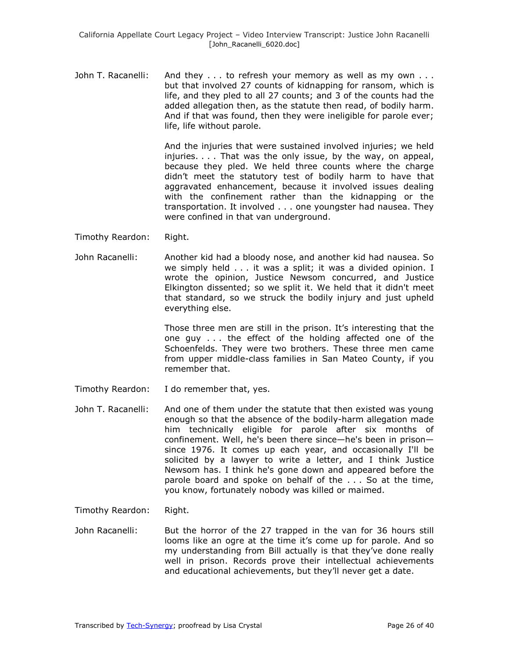John T. Racanelli: And they . . . to refresh your memory as well as my own . . . but that involved 27 counts of kidnapping for ransom, which is life, and they pled to all 27 counts; and 3 of the counts had the added allegation then, as the statute then read, of bodily harm. And if that was found, then they were ineligible for parole ever; life, life without parole.

> And the injuries that were sustained involved injuries; we held injuries. . . . That was the only issue, by the way, on appeal, because they pled. We held three counts where the charge didn't meet the statutory test of bodily harm to have that aggravated enhancement, because it involved issues dealing with the confinement rather than the kidnapping or the transportation. It involved . . . one youngster had nausea. They were confined in that van underground.

- Timothy Reardon: Right.
- John Racanelli: Another kid had a bloody nose, and another kid had nausea. So we simply held . . . it was a split; it was a divided opinion. I wrote the opinion, Justice Newsom concurred, and Justice Elkington dissented; so we split it. We held that it didn't meet that standard, so we struck the bodily injury and just upheld everything else.

Those three men are still in the prison. It's interesting that the one guy . . . the effect of the holding affected one of the Schoenfelds. They were two brothers. These three men came from upper middle-class families in San Mateo County, if you remember that.

- Timothy Reardon: I do remember that, yes.
- John T. Racanelli: And one of them under the statute that then existed was young enough so that the absence of the bodily-harm allegation made him technically eligible for parole after six months of confinement. Well, he's been there since—he's been in prison since 1976. It comes up each year, and occasionally I'll be solicited by a lawyer to write a letter, and I think Justice Newsom has. I think he's gone down and appeared before the parole board and spoke on behalf of the . . . So at the time, you know, fortunately nobody was killed or maimed.

Timothy Reardon: Right.

John Racanelli: But the horror of the 27 trapped in the van for 36 hours still looms like an ogre at the time it's come up for parole. And so my understanding from Bill actually is that they've done really well in prison. Records prove their intellectual achievements and educational achievements, but they'll never get a date.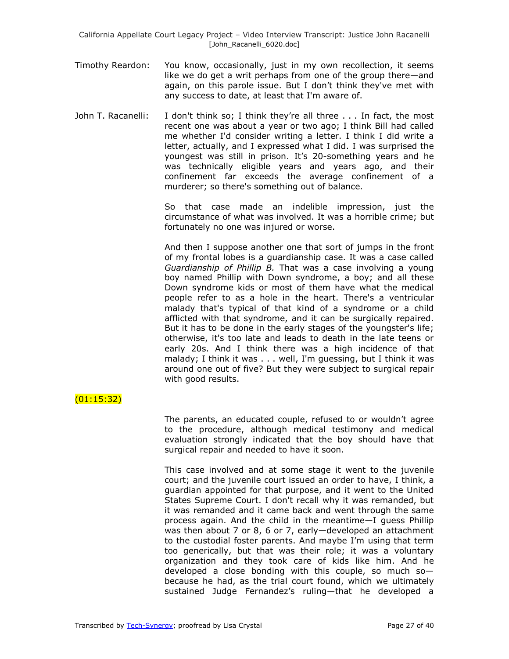- Timothy Reardon: You know, occasionally, just in my own recollection, it seems like we do get a writ perhaps from one of the group there—and again, on this parole issue. But I don't think they've met with any success to date, at least that I'm aware of.
- John T. Racanelli: I don't think so; I think they're all three . . . In fact, the most recent one was about a year or two ago; I think Bill had called me whether I'd consider writing a letter. I think I did write a letter, actually, and I expressed what I did. I was surprised the youngest was still in prison. It's 20-something years and he was technically eligible years and years ago, and their confinement far exceeds the average confinement of a murderer; so there's something out of balance.

So that case made an indelible impression, just the circumstance of what was involved. It was a horrible crime; but fortunately no one was injured or worse.

And then I suppose another one that sort of jumps in the front of my frontal lobes is a guardianship case. It was a case called *Guardianship of Phillip B.* That was a case involving a young boy named Phillip with Down syndrome, a boy; and all these Down syndrome kids or most of them have what the medical people refer to as a hole in the heart. There's a ventricular malady that's typical of that kind of a syndrome or a child afflicted with that syndrome, and it can be surgically repaired. But it has to be done in the early stages of the youngster's life; otherwise, it's too late and leads to death in the late teens or early 20s. And I think there was a high incidence of that malady; I think it was . . . well, I'm guessing, but I think it was around one out of five? But they were subject to surgical repair with good results.

## $(01:15:32)$

The parents, an educated couple, refused to or wouldn't agree to the procedure, although medical testimony and medical evaluation strongly indicated that the boy should have that surgical repair and needed to have it soon.

This case involved and at some stage it went to the juvenile court; and the juvenile court issued an order to have, I think, a guardian appointed for that purpose, and it went to the United States Supreme Court. I don't recall why it was remanded, but it was remanded and it came back and went through the same process again. And the child in the meantime—I guess Phillip was then about 7 or 8, 6 or 7, early—developed an attachment to the custodial foster parents. And maybe I'm using that term too generically, but that was their role; it was a voluntary organization and they took care of kids like him. And he developed a close bonding with this couple, so much so because he had, as the trial court found, which we ultimately sustained Judge Fernandez's ruling—that he developed a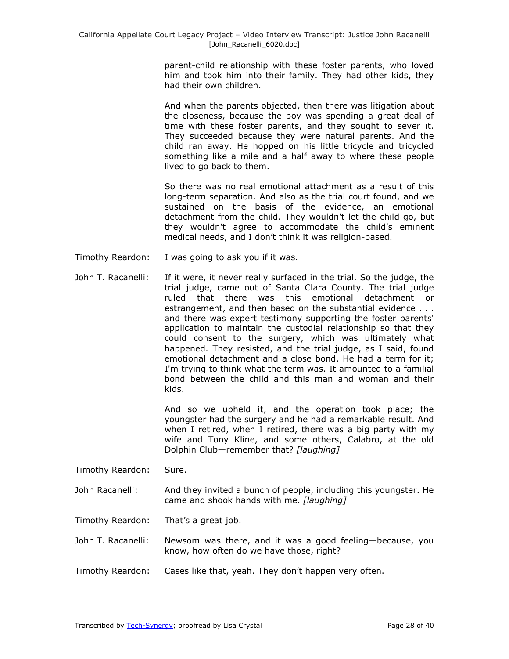parent-child relationship with these foster parents, who loved him and took him into their family. They had other kids, they had their own children.

And when the parents objected, then there was litigation about the closeness, because the boy was spending a great deal of time with these foster parents, and they sought to sever it. They succeeded because they were natural parents. And the child ran away. He hopped on his little tricycle and tricycled something like a mile and a half away to where these people lived to go back to them.

So there was no real emotional attachment as a result of this long-term separation. And also as the trial court found, and we sustained on the basis of the evidence, an emotional detachment from the child. They wouldn't let the child go, but they wouldn't agree to accommodate the child's eminent medical needs, and I don't think it was religion-based.

- Timothy Reardon: I was going to ask you if it was.
- John T. Racanelli: If it were, it never really surfaced in the trial. So the judge, the trial judge, came out of Santa Clara County. The trial judge ruled that there was this emotional detachment or estrangement, and then based on the substantial evidence . . . and there was expert testimony supporting the foster parents' application to maintain the custodial relationship so that they could consent to the surgery, which was ultimately what happened. They resisted, and the trial judge, as I said, found emotional detachment and a close bond. He had a term for it; I'm trying to think what the term was. It amounted to a familial bond between the child and this man and woman and their kids.

And so we upheld it, and the operation took place; the youngster had the surgery and he had a remarkable result. And when I retired, when I retired, there was a big party with my wife and Tony Kline, and some others, Calabro, at the old Dolphin Club—remember that? *[laughing]*

- Timothy Reardon: Sure.
- John Racanelli: And they invited a bunch of people, including this youngster. He came and shook hands with me. *[laughing]*

Timothy Reardon: That's a great job.

John T. Racanelli: Newsom was there, and it was a good feeling—because, you know, how often do we have those, right?

Timothy Reardon: Cases like that, yeah. They don't happen very often.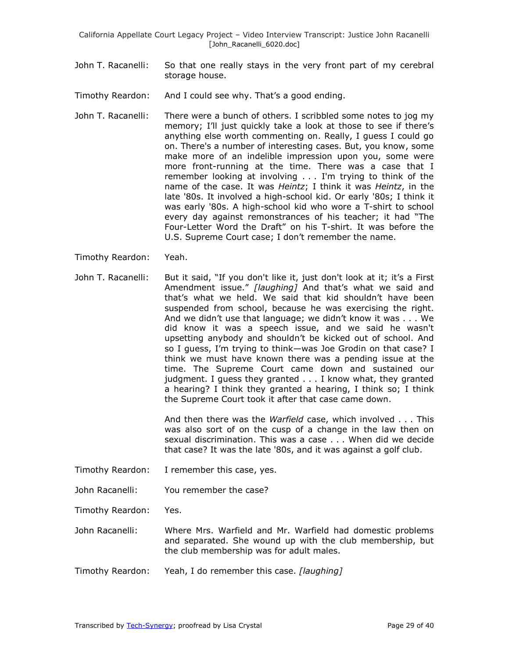John T. Racanelli: So that one really stays in the very front part of my cerebral storage house.

Timothy Reardon: And I could see why. That's a good ending.

- John T. Racanelli: There were a bunch of others. I scribbled some notes to jog my memory; I'll just quickly take a look at those to see if there's anything else worth commenting on. Really, I guess I could go on. There's a number of interesting cases. But, you know, some make more of an indelible impression upon you, some were more front-running at the time. There was a case that I remember looking at involving . . . I'm trying to think of the name of the case. It was *Heintz*; I think it was *Heintz*, in the late '80s. It involved a high-school kid. Or early '80s; I think it was early '80s. A high-school kid who wore a T-shirt to school every day against remonstrances of his teacher; it had "The Four-Letter Word the Draft" on his T-shirt. It was before the U.S. Supreme Court case; I don't remember the name.
- Timothy Reardon: Yeah.
- John T. Racanelli: But it said, "If you don't like it, just don't look at it; it's a First Amendment issue.‖ *[laughing]* And that's what we said and that's what we held. We said that kid shouldn't have been suspended from school, because he was exercising the right. And we didn't use that language; we didn't know it was . . . We did know it was a speech issue, and we said he wasn't upsetting anybody and shouldn't be kicked out of school. And so I guess, I'm trying to think—was Joe Grodin on that case? I think we must have known there was a pending issue at the time. The Supreme Court came down and sustained our judgment. I guess they granted . . . I know what, they granted a hearing? I think they granted a hearing, I think so; I think the Supreme Court took it after that case came down.

And then there was the *Warfield* case, which involved . . . This was also sort of on the cusp of a change in the law then on sexual discrimination. This was a case . . . When did we decide that case? It was the late '80s, and it was against a golf club.

- Timothy Reardon: I remember this case, yes.
- John Racanelli: You remember the case?

Timothy Reardon: Yes.

John Racanelli: Where Mrs. Warfield and Mr. Warfield had domestic problems and separated. She wound up with the club membership, but the club membership was for adult males.

Timothy Reardon: Yeah, I do remember this case. *[laughing]*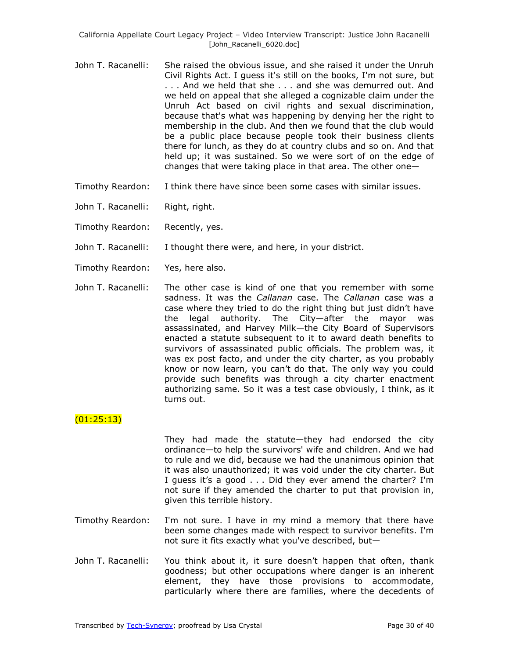- John T. Racanelli: She raised the obvious issue, and she raised it under the Unruh Civil Rights Act. I guess it's still on the books, I'm not sure, but . . . And we held that she . . . and she was demurred out. And we held on appeal that she alleged a cognizable claim under the Unruh Act based on civil rights and sexual discrimination, because that's what was happening by denying her the right to membership in the club. And then we found that the club would be a public place because people took their business clients there for lunch, as they do at country clubs and so on. And that held up; it was sustained. So we were sort of on the edge of changes that were taking place in that area. The other one—
- Timothy Reardon: I think there have since been some cases with similar issues.
- John T. Racanelli: Right, right.
- Timothy Reardon: Recently, yes.
- John T. Racanelli: I thought there were, and here, in your district.
- Timothy Reardon: Yes, here also.
- John T. Racanelli: The other case is kind of one that you remember with some sadness. It was the *Callanan* case. The *Callanan* case was a case where they tried to do the right thing but just didn't have the legal authority. The City—after the mayor was assassinated, and Harvey Milk—the City Board of Supervisors enacted a statute subsequent to it to award death benefits to survivors of assassinated public officials. The problem was, it was ex post facto, and under the city charter, as you probably know or now learn, you can't do that. The only way you could provide such benefits was through a city charter enactment authorizing same. So it was a test case obviously, I think, as it turns out.

## (01:25:13)

They had made the statute—they had endorsed the city ordinance—to help the survivors' wife and children. And we had to rule and we did, because we had the unanimous opinion that it was also unauthorized; it was void under the city charter. But I guess it's a good . . . Did they ever amend the charter? I'm not sure if they amended the charter to put that provision in, given this terrible history.

- Timothy Reardon: I'm not sure. I have in my mind a memory that there have been some changes made with respect to survivor benefits. I'm not sure it fits exactly what you've described, but—
- John T. Racanelli: You think about it, it sure doesn't happen that often, thank goodness; but other occupations where danger is an inherent element, they have those provisions to accommodate, particularly where there are families, where the decedents of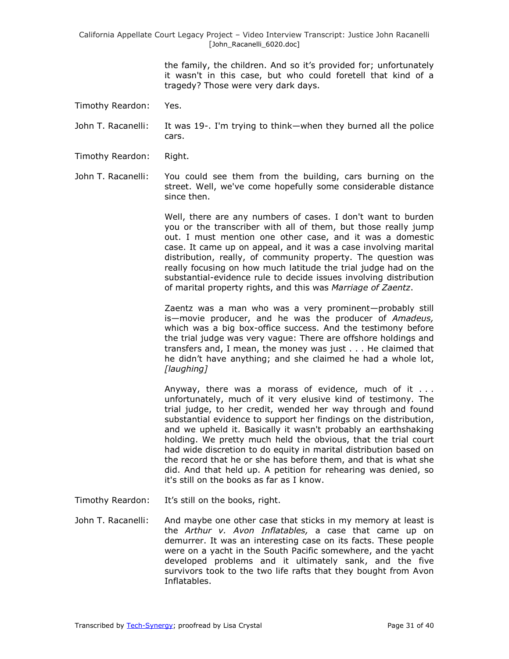the family, the children. And so it's provided for; unfortunately it wasn't in this case, but who could foretell that kind of a tragedy? Those were very dark days.

Timothy Reardon: Yes.

John T. Racanelli: It was 19-. I'm trying to think—when they burned all the police cars.

Timothy Reardon: Right.

John T. Racanelli: You could see them from the building, cars burning on the street. Well, we've come hopefully some considerable distance since then.

> Well, there are any numbers of cases. I don't want to burden you or the transcriber with all of them, but those really jump out. I must mention one other case, and it was a domestic case. It came up on appeal, and it was a case involving marital distribution, really, of community property. The question was really focusing on how much latitude the trial judge had on the substantial-evidence rule to decide issues involving distribution of marital property rights, and this was *Marriage of Zaentz*.

> Zaentz was a man who was a very prominent—probably still is—movie producer, and he was the producer of *Amadeus,* which was a big box-office success. And the testimony before the trial judge was very vague: There are offshore holdings and transfers and, I mean, the money was just . . . He claimed that he didn't have anything; and she claimed he had a whole lot, *[laughing]*

> Anyway, there was a morass of evidence, much of it . . . unfortunately, much of it very elusive kind of testimony. The trial judge, to her credit, wended her way through and found substantial evidence to support her findings on the distribution, and we upheld it. Basically it wasn't probably an earthshaking holding. We pretty much held the obvious, that the trial court had wide discretion to do equity in marital distribution based on the record that he or she has before them, and that is what she did. And that held up. A petition for rehearing was denied, so it's still on the books as far as I know.

- Timothy Reardon: It's still on the books, right.
- John T. Racanelli: And maybe one other case that sticks in my memory at least is the *Arthur v. Avon Inflatables,* a case that came up on demurrer. It was an interesting case on its facts. These people were on a yacht in the South Pacific somewhere, and the yacht developed problems and it ultimately sank, and the five survivors took to the two life rafts that they bought from Avon Inflatables.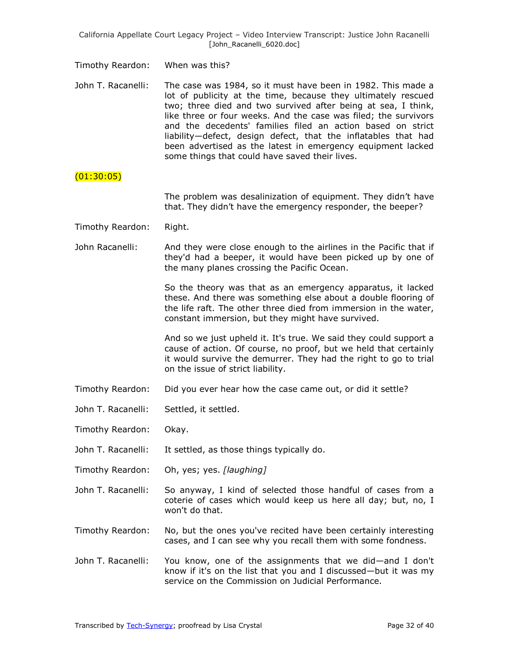Timothy Reardon: When was this?

John T. Racanelli: The case was 1984, so it must have been in 1982. This made a lot of publicity at the time, because they ultimately rescued two; three died and two survived after being at sea, I think, like three or four weeks. And the case was filed; the survivors and the decedents' families filed an action based on strict liability—defect, design defect, that the inflatables that had been advertised as the latest in emergency equipment lacked some things that could have saved their lives.

### $(01:30:05)$

The problem was desalinization of equipment. They didn't have that. They didn't have the emergency responder, the beeper?

- Timothy Reardon: Right.
- John Racanelli: And they were close enough to the airlines in the Pacific that if they'd had a beeper, it would have been picked up by one of the many planes crossing the Pacific Ocean.

So the theory was that as an emergency apparatus, it lacked these. And there was something else about a double flooring of the life raft. The other three died from immersion in the water, constant immersion, but they might have survived.

And so we just upheld it. It's true. We said they could support a cause of action. Of course, no proof, but we held that certainly it would survive the demurrer. They had the right to go to trial on the issue of strict liability.

- Timothy Reardon: Did you ever hear how the case came out, or did it settle?
- John T. Racanelli: Settled, it settled.
- Timothy Reardon: Okay.
- John T. Racanelli: It settled, as those things typically do.
- Timothy Reardon: Oh, yes; yes. *[laughing]*
- John T. Racanelli: So anyway, I kind of selected those handful of cases from a coterie of cases which would keep us here all day; but, no, I won't do that.
- Timothy Reardon: No, but the ones you've recited have been certainly interesting cases, and I can see why you recall them with some fondness.
- John T. Racanelli: You know, one of the assignments that we did—and I don't know if it's on the list that you and I discussed—but it was my service on the Commission on Judicial Performance.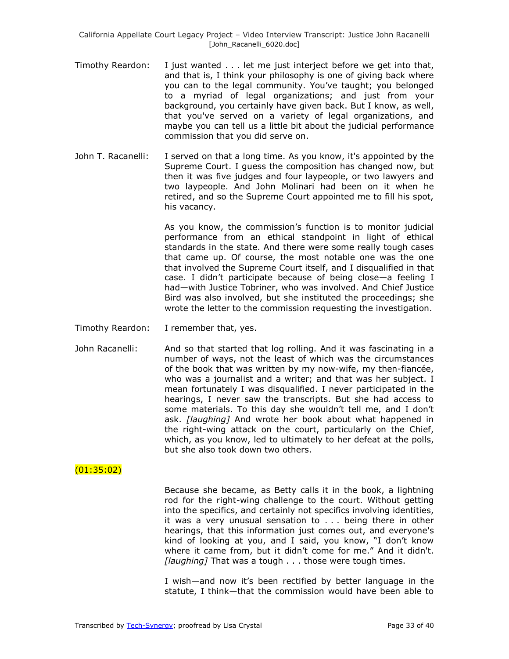- Timothy Reardon: I just wanted . . . let me just interject before we get into that, and that is, I think your philosophy is one of giving back where you can to the legal community. You've taught; you belonged to a myriad of legal organizations; and just from your background, you certainly have given back. But I know, as well, that you've served on a variety of legal organizations, and maybe you can tell us a little bit about the judicial performance commission that you did serve on.
- John T. Racanelli: I served on that a long time. As you know, it's appointed by the Supreme Court. I guess the composition has changed now, but then it was five judges and four laypeople, or two lawyers and two laypeople. And John Molinari had been on it when he retired, and so the Supreme Court appointed me to fill his spot, his vacancy.

As you know, the commission's function is to monitor judicial performance from an ethical standpoint in light of ethical standards in the state. And there were some really tough cases that came up. Of course, the most notable one was the one that involved the Supreme Court itself, and I disqualified in that case. I didn't participate because of being close—a feeling I had—with Justice Tobriner, who was involved. And Chief Justice Bird was also involved, but she instituted the proceedings; she wrote the letter to the commission requesting the investigation.

- Timothy Reardon: I remember that, yes.
- John Racanelli: And so that started that log rolling. And it was fascinating in a number of ways, not the least of which was the circumstances of the book that was written by my now-wife, my then-fiancée, who was a journalist and a writer; and that was her subject. I mean fortunately I was disqualified. I never participated in the hearings, I never saw the transcripts. But she had access to some materials. To this day she wouldn't tell me, and I don't ask. *[laughing]* And wrote her book about what happened in the right-wing attack on the court, particularly on the Chief, which, as you know, led to ultimately to her defeat at the polls, but she also took down two others.

#### (01:35:02)

Because she became, as Betty calls it in the book, a lightning rod for the right-wing challenge to the court. Without getting into the specifics, and certainly not specifics involving identities, it was a very unusual sensation to . . . being there in other hearings, that this information just comes out, and everyone's kind of looking at you, and I said, you know, "I don't know where it came from, but it didn't come for me." And it didn't. *[laughing]* That was a tough . . . those were tough times.

I wish—and now it's been rectified by better language in the statute, I think—that the commission would have been able to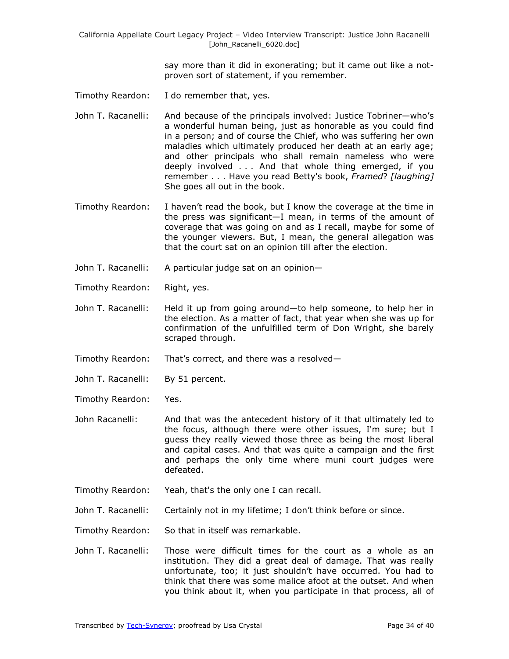> say more than it did in exonerating; but it came out like a notproven sort of statement, if you remember.

- Timothy Reardon: I do remember that, yes.
- John T. Racanelli: And because of the principals involved: Justice Tobriner—who's a wonderful human being, just as honorable as you could find in a person; and of course the Chief, who was suffering her own maladies which ultimately produced her death at an early age; and other principals who shall remain nameless who were deeply involved . . . And that whole thing emerged, if you remember . . . Have you read Betty's book, *Framed*? *[laughing]* She goes all out in the book.
- Timothy Reardon: I haven't read the book, but I know the coverage at the time in the press was significant—I mean, in terms of the amount of coverage that was going on and as I recall, maybe for some of the younger viewers. But, I mean, the general allegation was that the court sat on an opinion till after the election.
- John T. Racanelli: A particular judge sat on an opinion—
- Timothy Reardon: Right, yes.
- John T. Racanelli: Held it up from going around—to help someone, to help her in the election. As a matter of fact, that year when she was up for confirmation of the unfulfilled term of Don Wright, she barely scraped through.
- Timothy Reardon: That's correct, and there was a resolved—
- John T. Racanelli: By 51 percent.
- Timothy Reardon: Yes.
- John Racanelli: And that was the antecedent history of it that ultimately led to the focus, although there were other issues, I'm sure; but I guess they really viewed those three as being the most liberal and capital cases. And that was quite a campaign and the first and perhaps the only time where muni court judges were defeated.
- Timothy Reardon: Yeah, that's the only one I can recall.
- John T. Racanelli: Certainly not in my lifetime; I don't think before or since.
- Timothy Reardon: So that in itself was remarkable.
- John T. Racanelli: Those were difficult times for the court as a whole as an institution. They did a great deal of damage. That was really unfortunate, too; it just shouldn't have occurred. You had to think that there was some malice afoot at the outset. And when you think about it, when you participate in that process, all of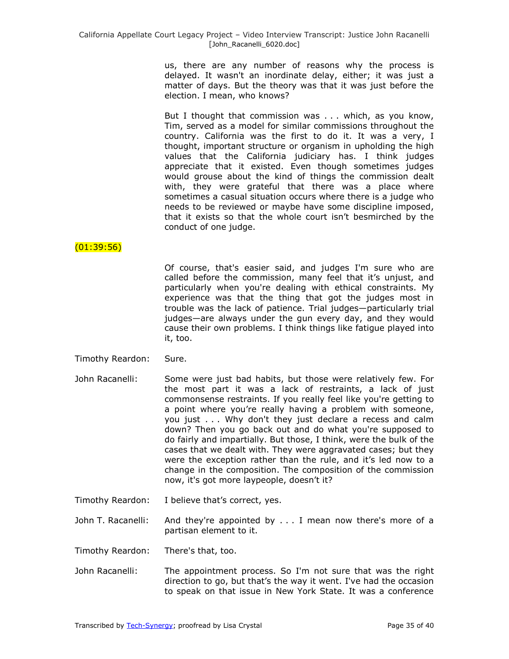us, there are any number of reasons why the process is delayed. It wasn't an inordinate delay, either; it was just a matter of days. But the theory was that it was just before the election. I mean, who knows?

But I thought that commission was . . . which, as you know, Tim, served as a model for similar commissions throughout the country. California was the first to do it. It was a very, I thought, important structure or organism in upholding the high values that the California judiciary has. I think judges appreciate that it existed. Even though sometimes judges would grouse about the kind of things the commission dealt with, they were grateful that there was a place where sometimes a casual situation occurs where there is a judge who needs to be reviewed or maybe have some discipline imposed, that it exists so that the whole court isn't besmirched by the conduct of one judge.

# $(01:39:56)$

Of course, that's easier said, and judges I'm sure who are called before the commission, many feel that it's unjust, and particularly when you're dealing with ethical constraints. My experience was that the thing that got the judges most in trouble was the lack of patience. Trial judges—particularly trial judges—are always under the gun every day, and they would cause their own problems. I think things like fatigue played into it, too.

- Timothy Reardon: Sure.
- John Racanelli: Some were just bad habits, but those were relatively few. For the most part it was a lack of restraints, a lack of just commonsense restraints. If you really feel like you're getting to a point where you're really having a problem with someone, you just . . . Why don't they just declare a recess and calm down? Then you go back out and do what you're supposed to do fairly and impartially. But those, I think, were the bulk of the cases that we dealt with. They were aggravated cases; but they were the exception rather than the rule, and it's led now to a change in the composition. The composition of the commission now, it's got more laypeople, doesn't it?
- Timothy Reardon: I believe that's correct, yes.
- John T. Racanelli: And they're appointed by . . . I mean now there's more of a partisan element to it.
- Timothy Reardon: There's that, too.
- John Racanelli: The appointment process. So I'm not sure that was the right direction to go, but that's the way it went. I've had the occasion to speak on that issue in New York State. It was a conference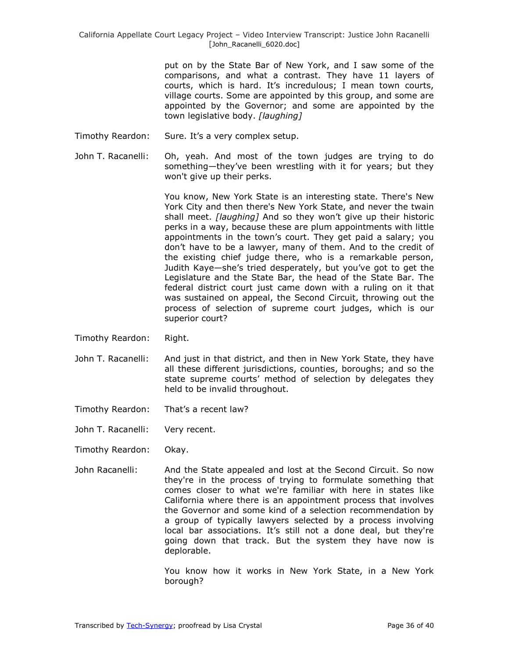put on by the State Bar of New York, and I saw some of the comparisons, and what a contrast. They have 11 layers of courts, which is hard. It's incredulous; I mean town courts, village courts. Some are appointed by this group, and some are appointed by the Governor; and some are appointed by the town legislative body. *[laughing]*

- Timothy Reardon: Sure. It's a very complex setup.
- John T. Racanelli: Oh, yeah. And most of the town judges are trying to do something—they've been wrestling with it for years; but they won't give up their perks.

You know, New York State is an interesting state. There's New York City and then there's New York State, and never the twain shall meet. *[laughing]* And so they won't give up their historic perks in a way, because these are plum appointments with little appointments in the town's court. They get paid a salary; you don't have to be a lawyer, many of them. And to the credit of the existing chief judge there, who is a remarkable person, Judith Kaye—she's tried desperately, but you've got to get the Legislature and the State Bar, the head of the State Bar. The federal district court just came down with a ruling on it that was sustained on appeal, the Second Circuit, throwing out the process of selection of supreme court judges, which is our superior court?

- Timothy Reardon: Right.
- John T. Racanelli: And just in that district, and then in New York State, they have all these different jurisdictions, counties, boroughs; and so the state supreme courts' method of selection by delegates they held to be invalid throughout.
- Timothy Reardon: That's a recent law?
- John T. Racanelli: Very recent.
- Timothy Reardon: Okay.
- John Racanelli: And the State appealed and lost at the Second Circuit. So now they're in the process of trying to formulate something that comes closer to what we're familiar with here in states like California where there is an appointment process that involves the Governor and some kind of a selection recommendation by a group of typically lawyers selected by a process involving local bar associations. It's still not a done deal, but they're going down that track. But the system they have now is deplorable.

You know how it works in New York State, in a New York borough?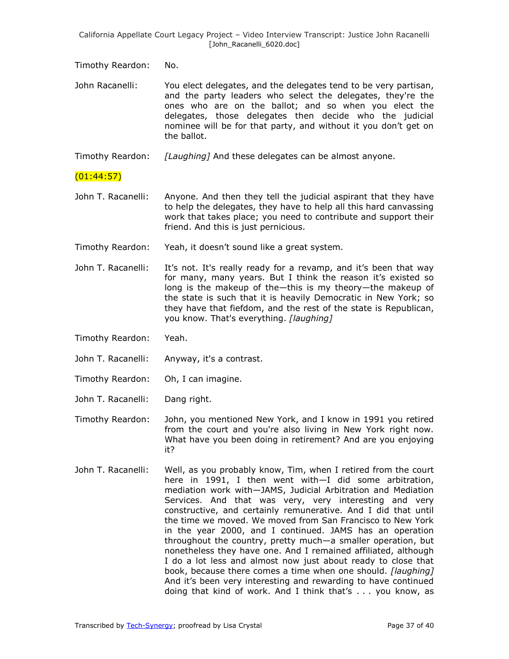Timothy Reardon: No.

John Racanelli: You elect delegates, and the delegates tend to be very partisan, and the party leaders who select the delegates, they're the ones who are on the ballot; and so when you elect the delegates, those delegates then decide who the judicial nominee will be for that party, and without it you don't get on the ballot.

Timothy Reardon: *[Laughing]* And these delegates can be almost anyone.

### $(01:44:57)$

- John T. Racanelli: Anyone. And then they tell the judicial aspirant that they have to help the delegates, they have to help all this hard canvassing work that takes place; you need to contribute and support their friend. And this is just pernicious.
- Timothy Reardon: Yeah, it doesn't sound like a great system.
- John T. Racanelli: It's not. It's really ready for a revamp, and it's been that way for many, many years. But I think the reason it's existed so long is the makeup of the—this is my theory—the makeup of the state is such that it is heavily Democratic in New York; so they have that fiefdom, and the rest of the state is Republican, you know. That's everything. *[laughing]*
- Timothy Reardon: Yeah.
- John T. Racanelli: Anyway, it's a contrast.
- Timothy Reardon: Oh, I can imagine.
- John T. Racanelli: Dang right.
- Timothy Reardon: John, you mentioned New York, and I know in 1991 you retired from the court and you're also living in New York right now. What have you been doing in retirement? And are you enjoying it?
- John T. Racanelli: Well, as you probably know, Tim, when I retired from the court here in 1991, I then went with—I did some arbitration, mediation work with—JAMS, Judicial Arbitration and Mediation Services. And that was very, very interesting and very constructive, and certainly remunerative. And I did that until the time we moved. We moved from San Francisco to New York in the year 2000, and I continued. JAMS has an operation throughout the country, pretty much—a smaller operation, but nonetheless they have one. And I remained affiliated, although I do a lot less and almost now just about ready to close that book, because there comes a time when one should. *[laughing]* And it's been very interesting and rewarding to have continued doing that kind of work. And I think that's . . . you know, as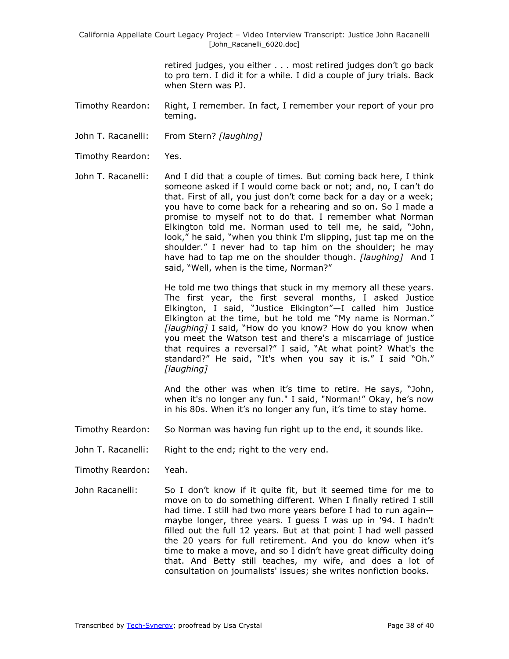retired judges, you either . . . most retired judges don't go back to pro tem. I did it for a while. I did a couple of jury trials. Back when Stern was PJ.

- Timothy Reardon: Right, I remember. In fact, I remember your report of your pro teming.
- John T. Racanelli: From Stern? *[laughing]*
- Timothy Reardon: Yes.
- John T. Racanelli: And I did that a couple of times. But coming back here, I think someone asked if I would come back or not; and, no, I can't do that. First of all, you just don't come back for a day or a week; you have to come back for a rehearing and so on. So I made a promise to myself not to do that. I remember what Norman Elkington told me. Norman used to tell me, he said, "John, look," he said, "when you think I'm slipping, just tap me on the shoulder." I never had to tap him on the shoulder; he may have had to tap me on the shoulder though. *[laughing]* And I said, "Well, when is the time, Norman?"

He told me two things that stuck in my memory all these years. The first year, the first several months, I asked Justice Elkington, I said, "Justice Elkington"-I called him Justice Elkington at the time, but he told me "My name is Norman." [laughing] I said, "How do you know? How do you know when you meet the Watson test and there's a miscarriage of justice that requires a reversal?" I said, "At what point? What's the standard?" He said, "It's when you say it is." I said "Oh." *[laughing]*

And the other was when it's time to retire. He says, "John, when it's no longer any fun." I said, "Norman!" Okay, he's now in his 80s. When it's no longer any fun, it's time to stay home.

- Timothy Reardon: So Norman was having fun right up to the end, it sounds like.
- John T. Racanelli: Right to the end; right to the very end.
- Timothy Reardon: Yeah.
- John Racanelli: So I don't know if it quite fit, but it seemed time for me to move on to do something different. When I finally retired I still had time. I still had two more years before I had to run again maybe longer, three years. I guess I was up in '94. I hadn't filled out the full 12 years. But at that point I had well passed the 20 years for full retirement. And you do know when it's time to make a move, and so I didn't have great difficulty doing that. And Betty still teaches, my wife, and does a lot of consultation on journalists' issues; she writes nonfiction books.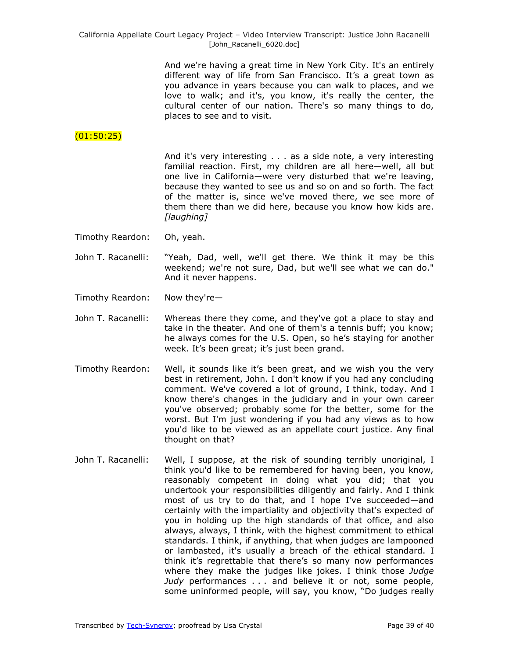And we're having a great time in New York City. It's an entirely different way of life from San Francisco. It's a great town as you advance in years because you can walk to places, and we love to walk; and it's, you know, it's really the center, the cultural center of our nation. There's so many things to do, places to see and to visit.

# (01:50:25)

And it's very interesting . . . as a side note, a very interesting familial reaction. First, my children are all here—well, all but one live in California—were very disturbed that we're leaving, because they wanted to see us and so on and so forth. The fact of the matter is, since we've moved there, we see more of them there than we did here, because you know how kids are. *[laughing]*

- Timothy Reardon: Oh, yeah.
- John T. Racanelli: ―Yeah, Dad, well, we'll get there. We think it may be this weekend; we're not sure, Dad, but we'll see what we can do." And it never happens.
- Timothy Reardon: Now they're—
- John T. Racanelli: Whereas there they come, and they've got a place to stay and take in the theater. And one of them's a tennis buff; you know; he always comes for the U.S. Open, so he's staying for another week. It's been great; it's just been grand.
- Timothy Reardon: Well, it sounds like it's been great, and we wish you the very best in retirement, John. I don't know if you had any concluding comment. We've covered a lot of ground, I think, today. And I know there's changes in the judiciary and in your own career you've observed; probably some for the better, some for the worst. But I'm just wondering if you had any views as to how you'd like to be viewed as an appellate court justice. Any final thought on that?
- John T. Racanelli: Well, I suppose, at the risk of sounding terribly unoriginal, I think you'd like to be remembered for having been, you know, reasonably competent in doing what you did; that you undertook your responsibilities diligently and fairly. And I think most of us try to do that, and I hope I've succeeded—and certainly with the impartiality and objectivity that's expected of you in holding up the high standards of that office, and also always, always, I think, with the highest commitment to ethical standards. I think, if anything, that when judges are lampooned or lambasted, it's usually a breach of the ethical standard. I think it's regrettable that there's so many now performances where they make the judges like jokes. I think those *Judge Judy* performances . . . and believe it or not, some people, some uninformed people, will say, you know, "Do judges really